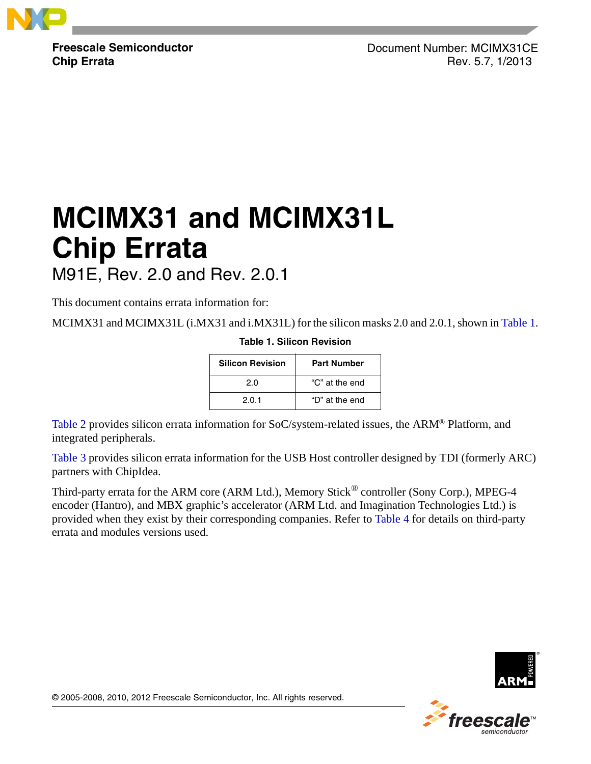

**Freescale Semiconductor Chip Errata**

Document Number: MCIMX31CE Rev. 5.7, 1/2013

# **MCIMX31 and MCIMX31L Chip Errata** M91E, Rev. 2.0 and Rev. 2.0.1

This document contains errata information for:

<span id="page-0-0"></span>MCIMX31 and MCIMX31L (i.MX31 and i.MX31L) for the silicon masks 2.0 and 2.0.1, shown in [Table 1.](#page-0-0) **Table 1. Silicon Revision**

| <b>Silicon Revision</b> | Part Number    |
|-------------------------|----------------|
| 2.0                     | "C" at the end |
| 2.0.1                   | "D" at the end |

[Table 2](#page-1-0) provides silicon errata information for SoC/system-related issues, the ARM® Platform, and integrated peripherals.

[Table 3](#page-28-0) provides silicon errata information for the USB Host controller designed by TDI (formerly ARC) partners with ChipIdea.

Third-party errata for the ARM core (ARM Ltd.), Memory Stick<sup>®</sup> controller (Sony Corp.), MPEG-4 encoder (Hantro), and MBX graphic's accelerator (ARM Ltd. and Imagination Technologies Ltd.) is provided when they exist by their corresponding companies. Refer to [Table 4](#page-33-0) for details on third-party errata and modules versions used.





© 2005-2008, 2010, 2012 Freescale Semiconductor, Inc. All rights reserved.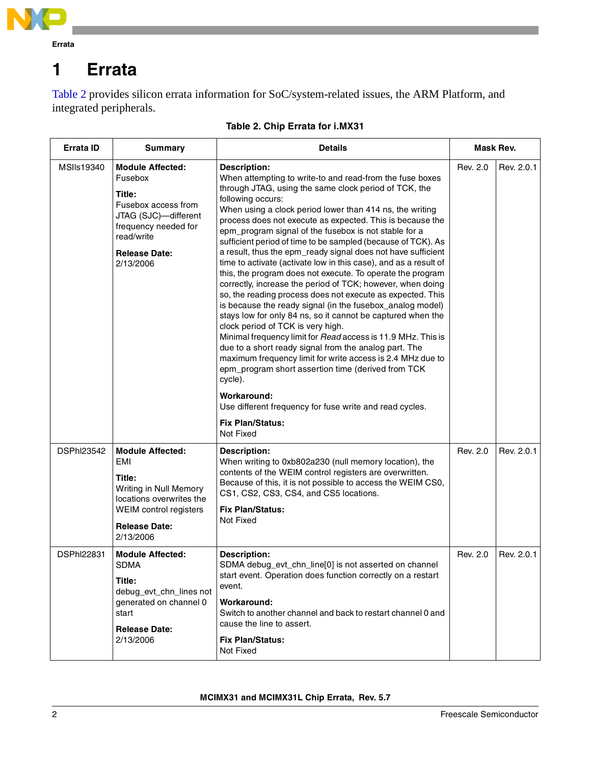

<span id="page-1-1"></span>[Table 2](#page-1-0) provides silicon errata information for SoC/system-related issues, the ARM Platform, and integrated peripherals.

<span id="page-1-0"></span>

| <b>Errata ID</b>  | Summary                                                                                                                                                                | <b>Details</b>                                                                                                                                                                                                                                                                                                                                                                                                                                                                                                                                                                                                                                                                                                                                                                                                                                                                                                                                                                                                                                                                                                                                                                                                                                                                           | Mask Rev. |            |
|-------------------|------------------------------------------------------------------------------------------------------------------------------------------------------------------------|------------------------------------------------------------------------------------------------------------------------------------------------------------------------------------------------------------------------------------------------------------------------------------------------------------------------------------------------------------------------------------------------------------------------------------------------------------------------------------------------------------------------------------------------------------------------------------------------------------------------------------------------------------------------------------------------------------------------------------------------------------------------------------------------------------------------------------------------------------------------------------------------------------------------------------------------------------------------------------------------------------------------------------------------------------------------------------------------------------------------------------------------------------------------------------------------------------------------------------------------------------------------------------------|-----------|------------|
| MSIIs19340        | <b>Module Affected:</b><br>Fusebox<br>Title:<br>Fusebox access from<br>JTAG (SJC)-different<br>frequency needed for<br>read/write<br><b>Release Date:</b><br>2/13/2006 | <b>Description:</b><br>When attempting to write-to and read-from the fuse boxes<br>through JTAG, using the same clock period of TCK, the<br>following occurs:<br>When using a clock period lower than 414 ns, the writing<br>process does not execute as expected. This is because the<br>epm_program signal of the fusebox is not stable for a<br>sufficient period of time to be sampled (because of TCK). As<br>a result, thus the epm_ready signal does not have sufficient<br>time to activate (activate low in this case), and as a result of<br>this, the program does not execute. To operate the program<br>correctly, increase the period of TCK; however, when doing<br>so, the reading process does not execute as expected. This<br>is because the ready signal (in the fusebox_analog model)<br>stays low for only 84 ns, so it cannot be captured when the<br>clock period of TCK is very high.<br>Minimal frequency limit for Read access is 11.9 MHz. This is<br>due to a short ready signal from the analog part. The<br>maximum frequency limit for write access is 2.4 MHz due to<br>epm_program short assertion time (derived from TCK<br>cycle).<br>Workaround:<br>Use different frequency for fuse write and read cycles.<br><b>Fix Plan/Status:</b><br>Not Fixed | Rev. 2.0  | Rev. 2.0.1 |
| <b>DSPhI23542</b> | <b>Module Affected:</b><br>EMI<br>Title:<br>Writing in Null Memory<br>locations overwrites the<br>WEIM control registers<br><b>Release Date:</b><br>2/13/2006          | <b>Description:</b><br>When writing to 0xb802a230 (null memory location), the<br>contents of the WEIM control registers are overwritten.<br>Because of this, it is not possible to access the WEIM CS0,<br>CS1, CS2, CS3, CS4, and CS5 locations.<br><b>Fix Plan/Status:</b><br>Not Fixed                                                                                                                                                                                                                                                                                                                                                                                                                                                                                                                                                                                                                                                                                                                                                                                                                                                                                                                                                                                                | Rev. 2.0  | Rev. 2.0.1 |
| <b>DSPhI22831</b> | <b>Module Affected:</b><br><b>SDMA</b><br>Title:<br>debug_evt_chn_lines not<br>generated on channel 0<br>start<br><b>Release Date:</b><br>2/13/2006                    | <b>Description:</b><br>SDMA debug_evt_chn_line[0] is not asserted on channel<br>start event. Operation does function correctly on a restart<br>event.<br>Workaround:<br>Switch to another channel and back to restart channel 0 and<br>cause the line to assert.<br><b>Fix Plan/Status:</b><br>Not Fixed                                                                                                                                                                                                                                                                                                                                                                                                                                                                                                                                                                                                                                                                                                                                                                                                                                                                                                                                                                                 | Rev. 2.0  | Rev. 2.0.1 |

### **Table 2. Chip Errata for i.MX31**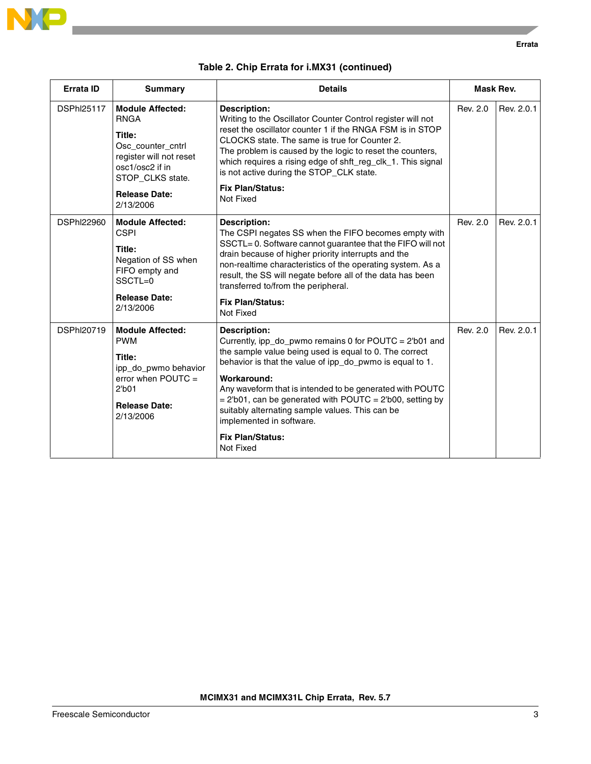

|  |  |  |  | Table 2. Chip Errata for i.MX31 (continued) |
|--|--|--|--|---------------------------------------------|
|--|--|--|--|---------------------------------------------|

| <b>Errata ID</b>  | <b>Summary</b>                                                                                                                                                               | <b>Details</b>                                                                                                                                                                                                                                                                                                                                                                                                                                                            | Mask Rev. |            |
|-------------------|------------------------------------------------------------------------------------------------------------------------------------------------------------------------------|---------------------------------------------------------------------------------------------------------------------------------------------------------------------------------------------------------------------------------------------------------------------------------------------------------------------------------------------------------------------------------------------------------------------------------------------------------------------------|-----------|------------|
| <b>DSPhI25117</b> | <b>Module Affected:</b><br><b>RNGA</b><br>Title:<br>Osc counter cntrl<br>register will not reset<br>osc1/osc2 if in<br>STOP_CLKS state.<br><b>Release Date:</b><br>2/13/2006 | <b>Description:</b><br>Writing to the Oscillator Counter Control register will not<br>reset the oscillator counter 1 if the RNGA FSM is in STOP<br>CLOCKS state. The same is true for Counter 2.<br>The problem is caused by the logic to reset the counters,<br>which requires a rising edge of shft_reg_clk_1. This signal<br>is not active during the STOP_CLK state.<br><b>Fix Plan/Status:</b><br>Not Fixed                                                          | Rev. 2.0  | Rev. 2.0.1 |
| <b>DSPhI22960</b> | <b>Module Affected:</b><br><b>CSPI</b><br>Title:<br>Negation of SS when<br>FIFO empty and<br>SSCTL=0<br><b>Release Date:</b><br>2/13/2006                                    | <b>Description:</b><br>The CSPI negates SS when the FIFO becomes empty with<br>SSCTL=0. Software cannot guarantee that the FIFO will not<br>drain because of higher priority interrupts and the<br>non-realtime characteristics of the operating system. As a<br>result, the SS will negate before all of the data has been<br>transferred to/from the peripheral.<br><b>Fix Plan/Status:</b><br>Not Fixed                                                                | Rev. 2.0  | Rev. 2.0.1 |
| <b>DSPhI20719</b> | <b>Module Affected:</b><br><b>PWM</b><br>Title:<br>ipp_do_pwmo behavior<br>error when $POUTC =$<br>2 <sub>b01</sub><br><b>Release Date:</b><br>2/13/2006                     | <b>Description:</b><br>Currently, ipp_do_pwmo remains 0 for POUTC = 2'b01 and<br>the sample value being used is equal to 0. The correct<br>behavior is that the value of ipp_do_pwmo is equal to 1.<br>Workaround:<br>Any waveform that is intended to be generated with POUTC<br>$= 2th01$ , can be generated with POUTC = 2 $th000$ , setting by<br>suitably alternating sample values. This can be<br>implemented in software.<br><b>Fix Plan/Status:</b><br>Not Fixed | Rev. 2.0  | Rev. 2.0.1 |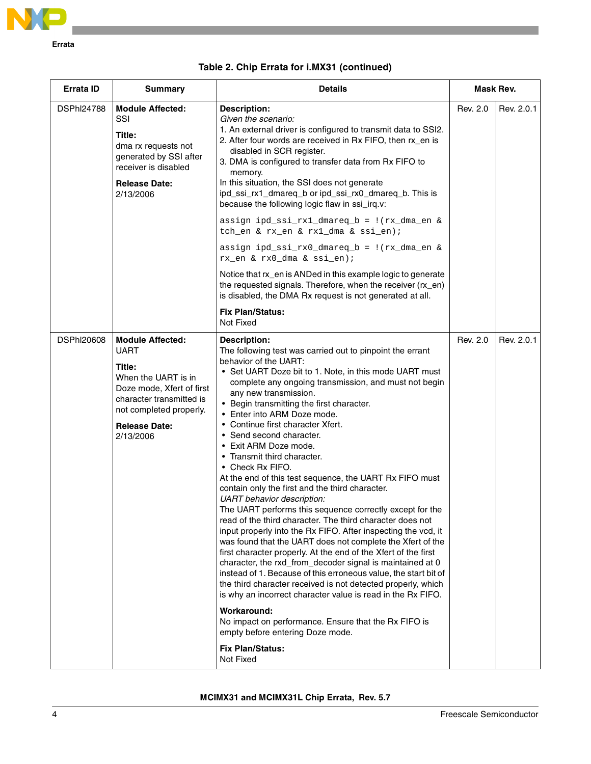

| Errata ID         | <b>Summary</b>                                                                                                                                                                                   | <b>Details</b>                                                                                                                                                                                                                                                                                                                                                                                                                                                                                                                                                                                                                                                                                                                                                                                                                                                                                                                                                                                                                                                                                                                                                                                                             | Mask Rev. |            |
|-------------------|--------------------------------------------------------------------------------------------------------------------------------------------------------------------------------------------------|----------------------------------------------------------------------------------------------------------------------------------------------------------------------------------------------------------------------------------------------------------------------------------------------------------------------------------------------------------------------------------------------------------------------------------------------------------------------------------------------------------------------------------------------------------------------------------------------------------------------------------------------------------------------------------------------------------------------------------------------------------------------------------------------------------------------------------------------------------------------------------------------------------------------------------------------------------------------------------------------------------------------------------------------------------------------------------------------------------------------------------------------------------------------------------------------------------------------------|-----------|------------|
| <b>DSPhI24788</b> | <b>Module Affected:</b><br>SSI<br>Title:<br>dma rx requests not<br>generated by SSI after<br>receiver is disabled<br><b>Release Date:</b><br>2/13/2006                                           | <b>Description:</b><br>Given the scenario:<br>1. An external driver is configured to transmit data to SSI2.<br>2. After four words are received in Rx FIFO, then rx_en is<br>disabled in SCR register.<br>3. DMA is configured to transfer data from Rx FIFO to<br>memory.<br>In this situation, the SSI does not generate<br>ipd_ssi_rx1_dmareq_b or ipd_ssi_rx0_dmareq_b. This is<br>because the following logic flaw in ssi_irq.v:<br>assign ipd_ssi_rx1_dmareq_b = !(rx_dma_en &<br>tch_en & rx_en & rx1_dma & ssi_en);<br>assign ipd_ssi_rx0_dmareq_b = !(rx_dma_en &<br>rx_en & rx0_dma & ssi_en);                                                                                                                                                                                                                                                                                                                                                                                                                                                                                                                                                                                                                   | Rev. 2.0  | Rev. 2.0.1 |
|                   |                                                                                                                                                                                                  | Notice that rx_en is ANDed in this example logic to generate<br>the requested signals. Therefore, when the receiver (rx_en)<br>is disabled, the DMA Rx request is not generated at all.<br><b>Fix Plan/Status:</b>                                                                                                                                                                                                                                                                                                                                                                                                                                                                                                                                                                                                                                                                                                                                                                                                                                                                                                                                                                                                         |           |            |
|                   |                                                                                                                                                                                                  | Not Fixed                                                                                                                                                                                                                                                                                                                                                                                                                                                                                                                                                                                                                                                                                                                                                                                                                                                                                                                                                                                                                                                                                                                                                                                                                  |           |            |
| <b>DSPhI20608</b> | <b>Module Affected:</b><br><b>UART</b><br>Title:<br>When the UART is in<br>Doze mode, Xfert of first<br>character transmitted is<br>not completed properly.<br><b>Release Date:</b><br>2/13/2006 | <b>Description:</b><br>The following test was carried out to pinpoint the errant<br>behavior of the UART:<br>• Set UART Doze bit to 1. Note, in this mode UART must<br>complete any ongoing transmission, and must not begin<br>any new transmission.<br>• Begin transmitting the first character.<br>• Enter into ARM Doze mode.<br>• Continue first character Xfert.<br>• Send second character.<br>• Exit ARM Doze mode.<br>• Transmit third character.<br>• Check Rx FIFO.<br>At the end of this test sequence, the UART Rx FIFO must<br>contain only the first and the third character.<br><b>UART</b> behavior description:<br>The UART performs this sequence correctly except for the<br>read of the third character. The third character does not<br>input properly into the Rx FIFO. After inspecting the vcd, it<br>was found that the UART does not complete the Xfert of the<br>first character properly. At the end of the Xfert of the first<br>character, the rxd_from_decoder signal is maintained at 0<br>instead of 1. Because of this erroneous value, the start bit of<br>the third character received is not detected properly, which<br>is why an incorrect character value is read in the Rx FIFO. | Rev. 2.0  | Rev. 2.0.1 |
|                   |                                                                                                                                                                                                  | Workaround:<br>No impact on performance. Ensure that the Rx FIFO is<br>empty before entering Doze mode.                                                                                                                                                                                                                                                                                                                                                                                                                                                                                                                                                                                                                                                                                                                                                                                                                                                                                                                                                                                                                                                                                                                    |           |            |
|                   |                                                                                                                                                                                                  | <b>Fix Plan/Status:</b><br>Not Fixed                                                                                                                                                                                                                                                                                                                                                                                                                                                                                                                                                                                                                                                                                                                                                                                                                                                                                                                                                                                                                                                                                                                                                                                       |           |            |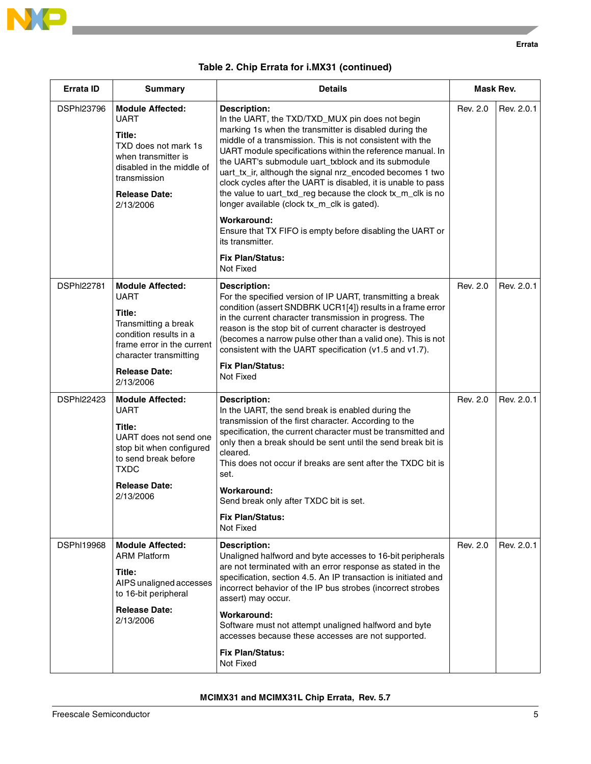

| <b>Errata ID</b>  | <b>Summary</b>                                                                                                                                                                                  | <b>Details</b>                                                                                                                                                                                                                                                                                                                                                                                                                                                                                                                                                               | Mask Rev. |            |
|-------------------|-------------------------------------------------------------------------------------------------------------------------------------------------------------------------------------------------|------------------------------------------------------------------------------------------------------------------------------------------------------------------------------------------------------------------------------------------------------------------------------------------------------------------------------------------------------------------------------------------------------------------------------------------------------------------------------------------------------------------------------------------------------------------------------|-----------|------------|
| <b>DSPhI23796</b> | <b>Module Affected:</b><br><b>UART</b><br>Title:<br>TXD does not mark 1s<br>when transmitter is<br>disabled in the middle of<br>transmission<br><b>Release Date:</b><br>2/13/2006               | <b>Description:</b><br>In the UART, the TXD/TXD_MUX pin does not begin<br>marking 1s when the transmitter is disabled during the<br>middle of a transmission. This is not consistent with the<br>UART module specifications within the reference manual. In<br>the UART's submodule uart_txblock and its submodule<br>uart_tx_ir, although the signal nrz_encoded becomes 1 two<br>clock cycles after the UART is disabled, it is unable to pass<br>the value to uart_txd_reg because the clock tx_m_clk is no<br>longer available (clock tx_m_clk is gated).<br>Workaround: | Rev. 2.0  | Rev. 2.0.1 |
|                   |                                                                                                                                                                                                 | Ensure that TX FIFO is empty before disabling the UART or<br>its transmitter.                                                                                                                                                                                                                                                                                                                                                                                                                                                                                                |           |            |
|                   |                                                                                                                                                                                                 | <b>Fix Plan/Status:</b><br>Not Fixed                                                                                                                                                                                                                                                                                                                                                                                                                                                                                                                                         |           |            |
| <b>DSPhI22781</b> | <b>Module Affected:</b><br><b>UART</b><br>Title:<br>Transmitting a break<br>condition results in a<br>frame error in the current<br>character transmitting<br><b>Release Date:</b><br>2/13/2006 | <b>Description:</b><br>For the specified version of IP UART, transmitting a break<br>condition (assert SNDBRK UCR1[4]) results in a frame error<br>in the current character transmission in progress. The<br>reason is the stop bit of current character is destroyed<br>(becomes a narrow pulse other than a valid one). This is not<br>consistent with the UART specification (v1.5 and v1.7).<br><b>Fix Plan/Status:</b><br>Not Fixed                                                                                                                                     | Rev. 2.0  | Rev. 2.0.1 |
| <b>DSPhI22423</b> | <b>Module Affected:</b><br><b>UART</b><br>Title:<br>UART does not send one<br>stop bit when configured<br>to send break before<br><b>TXDC</b><br><b>Release Date:</b><br>2/13/2006              | Description:<br>In the UART, the send break is enabled during the<br>transmission of the first character. According to the<br>specification, the current character must be transmitted and<br>only then a break should be sent until the send break bit is<br>cleared.<br>This does not occur if breaks are sent after the TXDC bit is<br>set.<br>Workaround:<br>Send break only after TXDC bit is set.<br><b>Fix Plan/Status:</b><br>Not Fixed                                                                                                                              | Rev. 2.0  | Rev. 2.0.1 |
| <b>DSPhI19968</b> | <b>Module Affected:</b><br><b>ARM Platform</b><br>Title:<br>AIPS unaligned accesses<br>to 16-bit peripheral<br><b>Release Date:</b><br>2/13/2006                                                | <b>Description:</b><br>Unaligned halfword and byte accesses to 16-bit peripherals<br>are not terminated with an error response as stated in the<br>specification, section 4.5. An IP transaction is initiated and<br>incorrect behavior of the IP bus strobes (incorrect strobes<br>assert) may occur.<br>Workaround:<br>Software must not attempt unaligned halfword and byte<br>accesses because these accesses are not supported.<br><b>Fix Plan/Status:</b><br>Not Fixed                                                                                                 | Rev. 2.0  | Rev. 2.0.1 |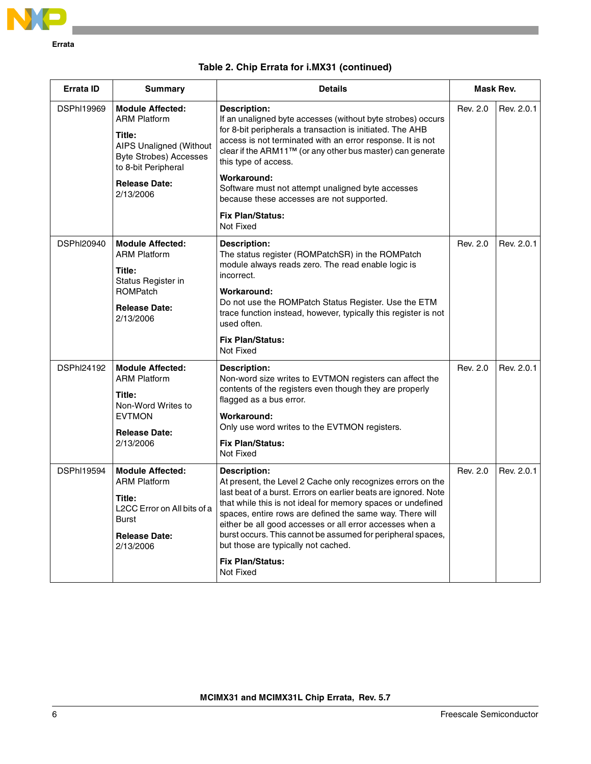

|  |  |  | Table 2. Chip Errata for i.MX31 (continued) |
|--|--|--|---------------------------------------------|
|--|--|--|---------------------------------------------|

| Errata ID         | <b>Summary</b>                                                                                                                                                                          | <b>Details</b>                                                                                                                                                                                                                                                                                                                                                                                                                                                                             | Mask Rev. |            |
|-------------------|-----------------------------------------------------------------------------------------------------------------------------------------------------------------------------------------|--------------------------------------------------------------------------------------------------------------------------------------------------------------------------------------------------------------------------------------------------------------------------------------------------------------------------------------------------------------------------------------------------------------------------------------------------------------------------------------------|-----------|------------|
| <b>DSPhI19969</b> | <b>Module Affected:</b><br><b>ARM Platform</b><br>Title:<br><b>AIPS Unaligned (Without</b><br><b>Byte Strobes) Accesses</b><br>to 8-bit Peripheral<br><b>Release Date:</b><br>2/13/2006 | <b>Description:</b><br>If an unaligned byte accesses (without byte strobes) occurs<br>for 8-bit peripherals a transaction is initiated. The AHB<br>access is not terminated with an error response. It is not<br>clear if the ARM11™ (or any other bus master) can generate<br>this type of access.<br>Workaround:<br>Software must not attempt unaligned byte accesses<br>because these accesses are not supported.<br><b>Fix Plan/Status:</b><br>Not Fixed                               | Rev. 2.0  | Rev. 2.0.1 |
| <b>DSPhI20940</b> | <b>Module Affected:</b><br><b>ARM Platform</b><br>Title:<br>Status Register in<br><b>ROMPatch</b><br><b>Release Date:</b><br>2/13/2006                                                  | <b>Description:</b><br>The status register (ROMPatchSR) in the ROMPatch<br>module always reads zero. The read enable logic is<br>incorrect.<br>Workaround:<br>Do not use the ROMPatch Status Register. Use the ETM<br>trace function instead, however, typically this register is not<br>used often.<br><b>Fix Plan/Status:</b><br>Not Fixed                                                                                                                                               | Rev. 2.0  | Rev. 2.0.1 |
| <b>DSPhI24192</b> | <b>Module Affected:</b><br><b>ARM Platform</b><br>Title:<br>Non-Word Writes to<br><b>EVTMON</b><br><b>Release Date:</b><br>2/13/2006                                                    | <b>Description:</b><br>Non-word size writes to EVTMON registers can affect the<br>contents of the registers even though they are properly<br>flagged as a bus error.<br>Workaround:<br>Only use word writes to the EVTMON registers.<br><b>Fix Plan/Status:</b><br>Not Fixed                                                                                                                                                                                                               | Rev. 2.0  | Rev. 2.0.1 |
| <b>DSPhI19594</b> | <b>Module Affected:</b><br><b>ARM Platform</b><br>Title:<br>L2CC Error on All bits of a<br>Burst<br><b>Release Date:</b><br>2/13/2006                                                   | <b>Description:</b><br>At present, the Level 2 Cache only recognizes errors on the<br>last beat of a burst. Errors on earlier beats are ignored. Note<br>that while this is not ideal for memory spaces or undefined<br>spaces, entire rows are defined the same way. There will<br>either be all good accesses or all error accesses when a<br>burst occurs. This cannot be assumed for peripheral spaces,<br>but those are typically not cached.<br><b>Fix Plan/Status:</b><br>Not Fixed | Rev. 2.0  | Rev. 2.0.1 |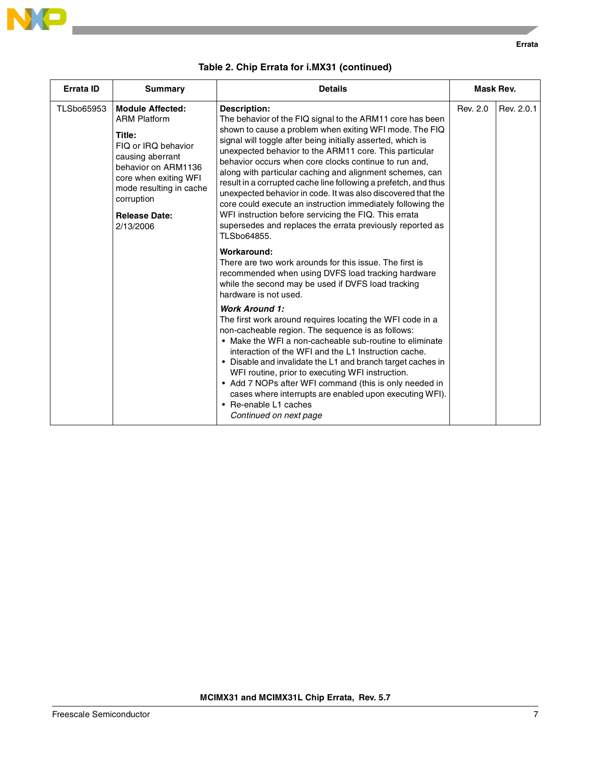

**Errata**

| Errata ID  | <b>Summary</b>                                                                                                                                                                                                                    | <b>Details</b>                                                                                                                                                                                                                                                                                                                                                                                                                                                                                                                                                                                                                                                                                                                   | Mask Rev. |            |
|------------|-----------------------------------------------------------------------------------------------------------------------------------------------------------------------------------------------------------------------------------|----------------------------------------------------------------------------------------------------------------------------------------------------------------------------------------------------------------------------------------------------------------------------------------------------------------------------------------------------------------------------------------------------------------------------------------------------------------------------------------------------------------------------------------------------------------------------------------------------------------------------------------------------------------------------------------------------------------------------------|-----------|------------|
| TLSbo65953 | <b>Module Affected:</b><br><b>ARM Platform</b><br>Title:<br>FIQ or IRQ behavior<br>causing aberrant<br>behavior on ARM1136<br>core when exiting WFI<br>mode resulting in cache<br>corruption<br><b>Release Date:</b><br>2/13/2006 | <b>Description:</b><br>The behavior of the FIQ signal to the ARM11 core has been<br>shown to cause a problem when exiting WFI mode. The FIQ<br>signal will toggle after being initially asserted, which is<br>unexpected behavior to the ARM11 core. This particular<br>behavior occurs when core clocks continue to run and,<br>along with particular caching and alignment schemes, can<br>result in a corrupted cache line following a prefetch, and thus<br>unexpected behavior in code. It was also discovered that the<br>core could execute an instruction immediately following the<br>WFI instruction before servicing the FIQ. This errata<br>supersedes and replaces the errata previously reported as<br>TLSbo64855. | Rev. 2.0  | Rev. 2.0.1 |
|            |                                                                                                                                                                                                                                   | Workaround:<br>There are two work arounds for this issue. The first is<br>recommended when using DVFS load tracking hardware<br>while the second may be used if DVFS load tracking<br>hardware is not used.                                                                                                                                                                                                                                                                                                                                                                                                                                                                                                                      |           |            |
|            |                                                                                                                                                                                                                                   | <b>Work Around 1:</b><br>The first work around requires locating the WFI code in a<br>non-cacheable region. The sequence is as follows:<br>• Make the WFI a non-cacheable sub-routine to eliminate<br>interaction of the WFI and the L1 Instruction cache.<br>• Disable and invalidate the L1 and branch target caches in<br>WFI routine, prior to executing WFI instruction.<br>• Add 7 NOPs after WFI command (this is only needed in<br>cases where interrupts are enabled upon executing WFI).<br>• Re-enable L1 caches<br>Continued on next page                                                                                                                                                                            |           |            |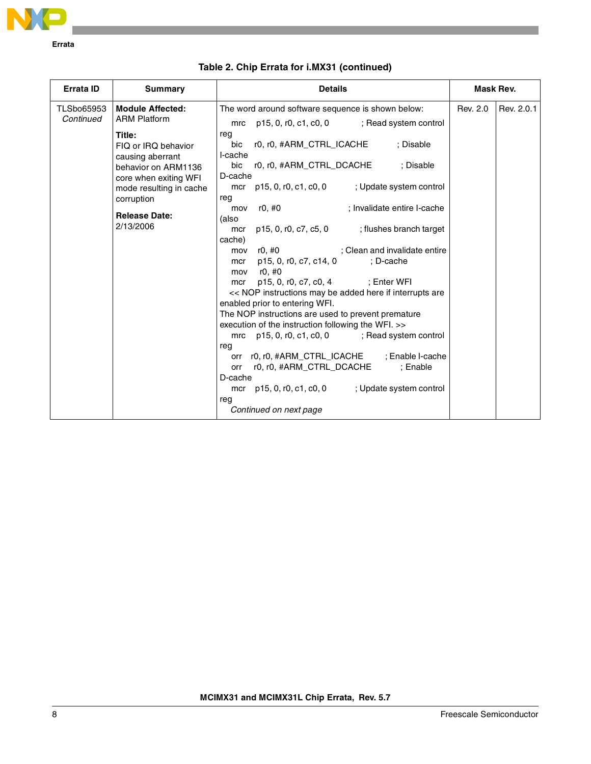

| <b>Summary</b>                                                                                                                                                                                                                                                                                                                                                                                                                                                                                                                                                                                                                                                                                                                                                                                                                                                                                                                                                                                                                                                                                                                                                                                                                                                                                                                                                   | Mask Rev.  |
|------------------------------------------------------------------------------------------------------------------------------------------------------------------------------------------------------------------------------------------------------------------------------------------------------------------------------------------------------------------------------------------------------------------------------------------------------------------------------------------------------------------------------------------------------------------------------------------------------------------------------------------------------------------------------------------------------------------------------------------------------------------------------------------------------------------------------------------------------------------------------------------------------------------------------------------------------------------------------------------------------------------------------------------------------------------------------------------------------------------------------------------------------------------------------------------------------------------------------------------------------------------------------------------------------------------------------------------------------------------|------------|
| <b>Module Affected:</b><br>Rev. 2.0<br><b>TLSbo65953</b><br>The word around software sequence is shown below:<br><b>ARM Platform</b><br>Continued<br>p15, 0, r0, c1, c0, 0 ; Read system control<br>mrc<br>reg<br>Title:<br>r0, r0, #ARM_CTRL_ICACHE<br>: Disable<br>bic<br>FIQ or IRQ behavior<br>I-cache<br>causing aberrant<br>bic<br>r0, r0, #ARM_CTRL_DCACHE<br>: Disable<br>behavior on ARM1136<br>D-cache<br>core when exiting WFI<br>p15, 0, r0, c1, c0, 0<br>; Update system control<br>mcr<br>mode resulting in cache<br>reg<br>corruption<br>r0, #0<br>; Invalidate entire I-cache<br>mov<br><b>Release Date:</b><br>(also<br>2/13/2006<br>p15, 0, r0, c7, c5, 0 ; flushes branch target<br>mcr<br>cache)<br>; Clean and invalidate entire<br>r0, #0<br>mov<br>p15, 0, r0, c7, c14, 0<br>: D-cache<br>mcr<br>r0, #0<br>mov<br>p15, 0, r0, c7, c0, 4 ; Enter WFI<br>mcr<br><< NOP instructions may be added here if interrupts are<br>enabled prior to entering WFI.<br>The NOP instructions are used to prevent premature<br>execution of the instruction following the WFI. >><br>$p15, 0, r0, c1, c0, 0$ ; Read system control<br>mrc<br>reg<br>r0, r0, #ARM_CTRL_ICACHE ; Enable I-cache<br>orr<br>r0, r0, #ARM_CTRL_DCACHE<br>: Enable<br>orr<br>D-cache<br>mcr p15, 0, r0, c1, c0, 0<br>; Update system control<br>rea<br>Continued on next page | Rev. 2.0.1 |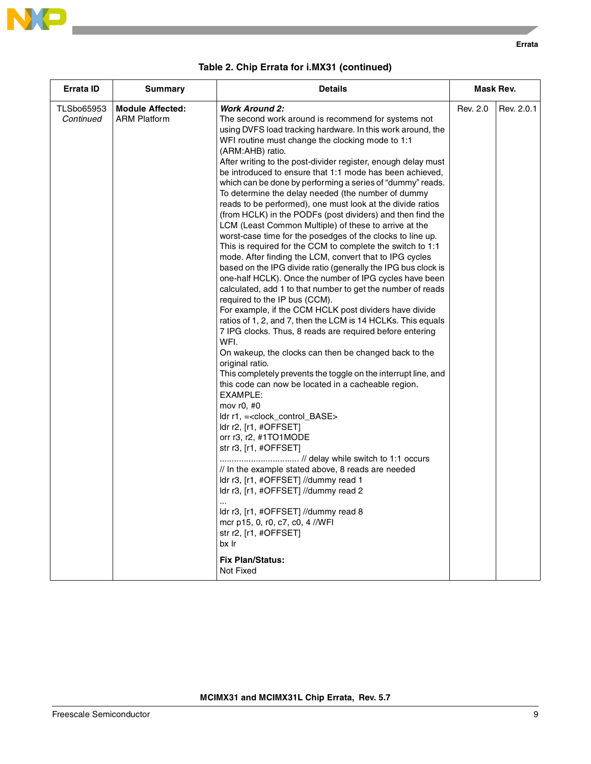

 $\overline{\phantom{a}}$ 

| Table 2. Chip Errata for i.MX31 (continued) |  |
|---------------------------------------------|--|
|---------------------------------------------|--|

| <b>Errata ID</b>               | Summary                                        | <b>Details</b>                                                                                                                                                                                                                                                                                                                                                                                                                                                                                                                                                                                                                                                                                                                                                                                                                                                                                                                                                                                                                                                                                                                                                                                                                                                                                                                                                                                                                                                                                                                                                                                                                                                                                                                                                                                                                                                                                                                                              | Mask Rev. |            |
|--------------------------------|------------------------------------------------|-------------------------------------------------------------------------------------------------------------------------------------------------------------------------------------------------------------------------------------------------------------------------------------------------------------------------------------------------------------------------------------------------------------------------------------------------------------------------------------------------------------------------------------------------------------------------------------------------------------------------------------------------------------------------------------------------------------------------------------------------------------------------------------------------------------------------------------------------------------------------------------------------------------------------------------------------------------------------------------------------------------------------------------------------------------------------------------------------------------------------------------------------------------------------------------------------------------------------------------------------------------------------------------------------------------------------------------------------------------------------------------------------------------------------------------------------------------------------------------------------------------------------------------------------------------------------------------------------------------------------------------------------------------------------------------------------------------------------------------------------------------------------------------------------------------------------------------------------------------------------------------------------------------------------------------------------------------|-----------|------------|
| <b>TLSbo65953</b><br>Continued | <b>Module Affected:</b><br><b>ARM Platform</b> | <b>Work Around 2:</b><br>The second work around is recommend for systems not<br>using DVFS load tracking hardware. In this work around, the<br>WFI routine must change the clocking mode to 1:1<br>(ARM:AHB) ratio.<br>After writing to the post-divider register, enough delay must<br>be introduced to ensure that 1:1 mode has been achieved,<br>which can be done by performing a series of "dummy" reads.<br>To determine the delay needed (the number of dummy<br>reads to be performed), one must look at the divide ratios<br>(from HCLK) in the PODFs (post dividers) and then find the<br>LCM (Least Common Multiple) of these to arrive at the<br>worst-case time for the posedges of the clocks to line up.<br>This is required for the CCM to complete the switch to 1:1<br>mode. After finding the LCM, convert that to IPG cycles<br>based on the IPG divide ratio (generally the IPG bus clock is<br>one-half HCLK). Once the number of IPG cycles have been<br>calculated, add 1 to that number to get the number of reads<br>required to the IP bus (CCM).<br>For example, if the CCM HCLK post dividers have divide<br>ratios of 1, 2, and 7, then the LCM is 14 HCLKs. This equals<br>7 IPG clocks. Thus, 8 reads are required before entering<br>WFI.<br>On wakeup, the clocks can then be changed back to the<br>original ratio.<br>This completely prevents the toggle on the interrupt line, and<br>this code can now be located in a cacheable region.<br>EXAMPLE:<br>mov $r0, #0$<br>ldr r1, = < clock_control_BASE ><br>ldr r2, [r1, #OFFSET]<br>orr r3, r2, #1TO1MODE<br>str r3, [r1, #OFFSET]<br>// delay while switch to 1:1 occurs<br>// In the example stated above, 8 reads are needed<br>Idr r3, [r1, #OFFSET] //dummy read 1<br>ldr r3, [r1, #OFFSET] //dummy read 2<br>Idr r3, [r1, #OFFSET] //dummy read 8<br>mcr p15, 0, r0, c7, c0, 4//WFI<br>str r2, [r1, #OFFSET]<br>bx Ir<br><b>Fix Plan/Status:</b><br>Not Fixed | Rev. 2.0  | Rev. 2.0.1 |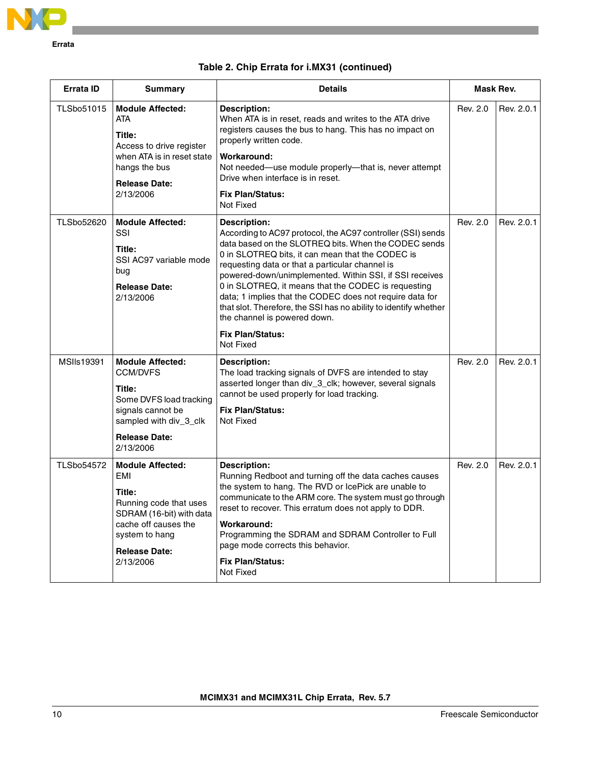

|  |  |  | Table 2. Chip Errata for i.MX31 (continued) |
|--|--|--|---------------------------------------------|
|--|--|--|---------------------------------------------|

| Errata ID         | <b>Summary</b>                                                                                                                                                                | <b>Details</b>                                                                                                                                                                                                                                                                                                                                                                                                                                                                                                                                                       | Mask Rev. |            |
|-------------------|-------------------------------------------------------------------------------------------------------------------------------------------------------------------------------|----------------------------------------------------------------------------------------------------------------------------------------------------------------------------------------------------------------------------------------------------------------------------------------------------------------------------------------------------------------------------------------------------------------------------------------------------------------------------------------------------------------------------------------------------------------------|-----------|------------|
| <b>TLSbo51015</b> | <b>Module Affected:</b><br><b>ATA</b><br>Title:<br>Access to drive register<br>when ATA is in reset state<br>hangs the bus<br><b>Release Date:</b><br>2/13/2006               | Description:<br>When ATA is in reset, reads and writes to the ATA drive<br>registers causes the bus to hang. This has no impact on<br>properly written code.<br>Workaround:<br>Not needed-use module properly-that is, never attempt<br>Drive when interface is in reset.<br><b>Fix Plan/Status:</b><br>Not Fixed                                                                                                                                                                                                                                                    | Rev. 2.0  | Rev. 2.0.1 |
| TLSbo52620        | <b>Module Affected:</b><br>SSI<br>Title:<br>SSI AC97 variable mode<br>bug<br><b>Release Date:</b><br>2/13/2006                                                                | Description:<br>According to AC97 protocol, the AC97 controller (SSI) sends<br>data based on the SLOTREQ bits. When the CODEC sends<br>0 in SLOTREQ bits, it can mean that the CODEC is<br>requesting data or that a particular channel is<br>powered-down/unimplemented. Within SSI, if SSI receives<br>0 in SLOTREQ, it means that the CODEC is requesting<br>data; 1 implies that the CODEC does not require data for<br>that slot. Therefore, the SSI has no ability to identify whether<br>the channel is powered down.<br><b>Fix Plan/Status:</b><br>Not Fixed | Rev. 2.0  | Rev. 2.0.1 |
| MSIIs19391        | <b>Module Affected:</b><br><b>CCM/DVFS</b><br>Title:<br>Some DVFS load tracking<br>signals cannot be<br>sampled with div 3 clk<br><b>Release Date:</b><br>2/13/2006           | <b>Description:</b><br>The load tracking signals of DVFS are intended to stay<br>asserted longer than div_3_clk; however, several signals<br>cannot be used properly for load tracking.<br><b>Fix Plan/Status:</b><br>Not Fixed                                                                                                                                                                                                                                                                                                                                      | Rev. 2.0  | Rev. 2.0.1 |
| <b>TLSbo54572</b> | <b>Module Affected:</b><br>EMI<br>Title:<br>Running code that uses<br>SDRAM (16-bit) with data<br>cache off causes the<br>system to hang<br><b>Release Date:</b><br>2/13/2006 | <b>Description:</b><br>Running Redboot and turning off the data caches causes<br>the system to hang. The RVD or IcePick are unable to<br>communicate to the ARM core. The system must go through<br>reset to recover. This erratum does not apply to DDR.<br>Workaround:<br>Programming the SDRAM and SDRAM Controller to Full<br>page mode corrects this behavior.<br><b>Fix Plan/Status:</b><br>Not Fixed                                                                                                                                                          | Rev. 2.0  | Rev. 2.0.1 |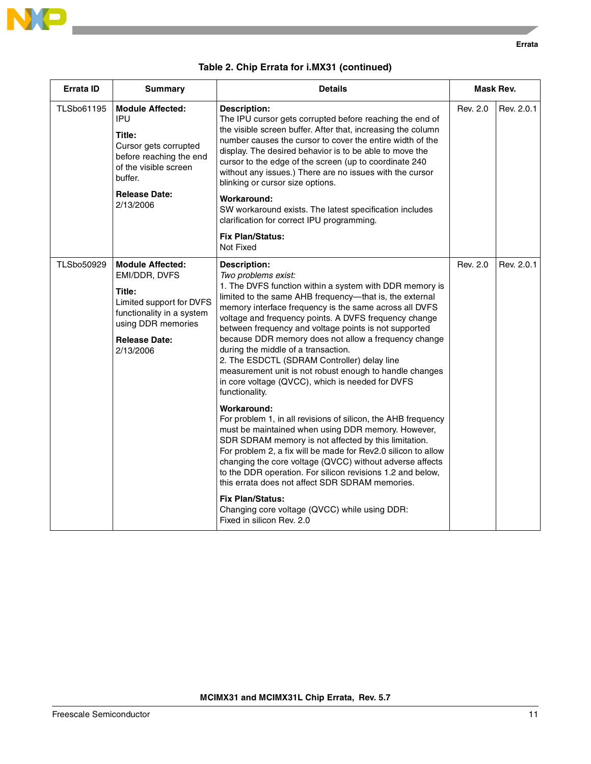

|  |  |  | Table 2. Chip Errata for i.MX31 (continued) |
|--|--|--|---------------------------------------------|
|--|--|--|---------------------------------------------|

| <b>Errata ID</b>  | <b>Summary</b>                                                                                                                                                         | <b>Details</b>                                                                                                                                                                                                                                                                                                                                                                                                                                                                                                                                                                                                                             |          | Mask Rev.  |
|-------------------|------------------------------------------------------------------------------------------------------------------------------------------------------------------------|--------------------------------------------------------------------------------------------------------------------------------------------------------------------------------------------------------------------------------------------------------------------------------------------------------------------------------------------------------------------------------------------------------------------------------------------------------------------------------------------------------------------------------------------------------------------------------------------------------------------------------------------|----------|------------|
| TLSbo61195        | <b>Module Affected:</b><br>IPU<br>Title:<br>Cursor gets corrupted<br>before reaching the end<br>of the visible screen<br>buffer.<br><b>Release Date:</b><br>2/13/2006  | <b>Description:</b><br>The IPU cursor gets corrupted before reaching the end of<br>the visible screen buffer. After that, increasing the column<br>number causes the cursor to cover the entire width of the<br>display. The desired behavior is to be able to move the<br>cursor to the edge of the screen (up to coordinate 240<br>without any issues.) There are no issues with the cursor<br>blinking or cursor size options.<br><b>Workaround:</b><br>SW workaround exists. The latest specification includes<br>clarification for correct IPU programming.<br><b>Fix Plan/Status:</b><br>Not Fixed                                   | Rev. 2.0 | Rev. 2.0.1 |
| <b>TLSbo50929</b> | <b>Module Affected:</b><br>EMI/DDR, DVFS<br>Title:<br>Limited support for DVFS<br>functionality in a system<br>using DDR memories<br><b>Release Date:</b><br>2/13/2006 | <b>Description:</b><br>Two problems exist:<br>1. The DVFS function within a system with DDR memory is<br>limited to the same AHB frequency-that is, the external<br>memory interface frequency is the same across all DVFS<br>voltage and frequency points. A DVFS frequency change<br>between frequency and voltage points is not supported<br>because DDR memory does not allow a frequency change<br>during the middle of a transaction.<br>2. The ESDCTL (SDRAM Controller) delay line<br>measurement unit is not robust enough to handle changes<br>in core voltage (QVCC), which is needed for DVFS<br>functionality.<br>Workaround: | Rev. 2.0 | Rev. 2.0.1 |
|                   |                                                                                                                                                                        | For problem 1, in all revisions of silicon, the AHB frequency<br>must be maintained when using DDR memory. However,<br>SDR SDRAM memory is not affected by this limitation.<br>For problem 2, a fix will be made for Rev2.0 silicon to allow<br>changing the core voltage (QVCC) without adverse affects<br>to the DDR operation. For silicon revisions 1.2 and below,<br>this errata does not affect SDR SDRAM memories.<br><b>Fix Plan/Status:</b><br>Changing core voltage (QVCC) while using DDR:<br>Fixed in silicon Rev. 2.0                                                                                                         |          |            |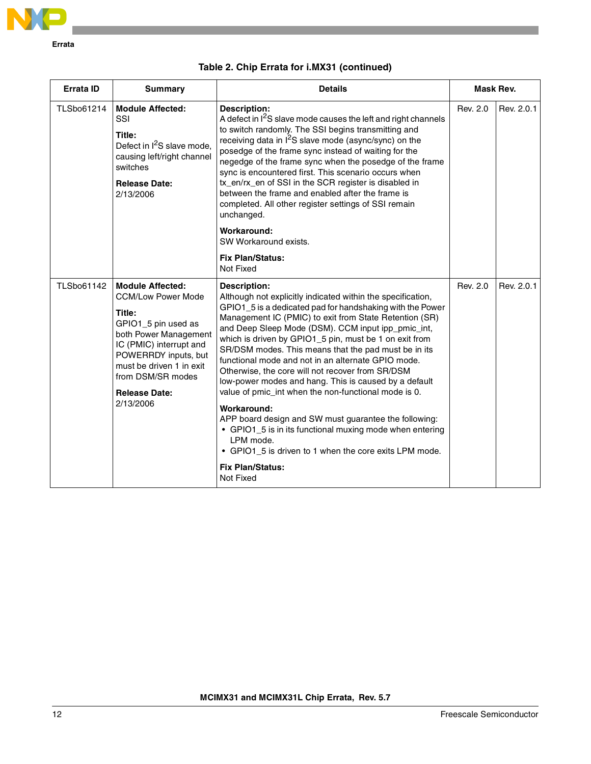

| Table 2. Chip Errata for i.MX31 (continued) |  |  |
|---------------------------------------------|--|--|
|---------------------------------------------|--|--|

| Errata ID         | Summary                                                                                                                                                                                                                                                 | <b>Details</b>                                                                                                                                                                                                                                                                                                                                                                                                                                                                                                                                                                                                                                                                                                                                                                                                                                                  | Mask Rev. |            |
|-------------------|---------------------------------------------------------------------------------------------------------------------------------------------------------------------------------------------------------------------------------------------------------|-----------------------------------------------------------------------------------------------------------------------------------------------------------------------------------------------------------------------------------------------------------------------------------------------------------------------------------------------------------------------------------------------------------------------------------------------------------------------------------------------------------------------------------------------------------------------------------------------------------------------------------------------------------------------------------------------------------------------------------------------------------------------------------------------------------------------------------------------------------------|-----------|------------|
| TLSbo61214        | <b>Module Affected:</b><br>SSI<br>Title:<br>Defect in I <sup>2</sup> S slave mode,<br>causing left/right channel<br>switches<br><b>Release Date:</b><br>2/13/2006                                                                                       | <b>Description:</b><br>A defect in I <sup>2</sup> S slave mode causes the left and right channels<br>to switch randomly. The SSI begins transmitting and<br>receiving data in $I^2S$ slave mode (async/sync) on the<br>posedge of the frame sync instead of waiting for the<br>negedge of the frame sync when the posedge of the frame<br>sync is encountered first. This scenario occurs when<br>tx_en/rx_en of SSI in the SCR register is disabled in<br>between the frame and enabled after the frame is<br>completed. All other register settings of SSI remain<br>unchanged.                                                                                                                                                                                                                                                                               | Rev. 2.0  | Rev. 2.0.1 |
|                   |                                                                                                                                                                                                                                                         | Workaround:<br>SW Workaround exists.                                                                                                                                                                                                                                                                                                                                                                                                                                                                                                                                                                                                                                                                                                                                                                                                                            |           |            |
|                   |                                                                                                                                                                                                                                                         | <b>Fix Plan/Status:</b><br>Not Fixed                                                                                                                                                                                                                                                                                                                                                                                                                                                                                                                                                                                                                                                                                                                                                                                                                            |           |            |
| <b>TLSbo61142</b> | <b>Module Affected:</b><br><b>CCM/Low Power Mode</b><br>Title:<br>GPIO1_5 pin used as<br>both Power Management<br>IC (PMIC) interrupt and<br>POWERRDY inputs, but<br>must be driven 1 in exit<br>from DSM/SR modes<br><b>Release Date:</b><br>2/13/2006 | <b>Description:</b><br>Although not explicitly indicated within the specification,<br>GPIO1_5 is a dedicated pad for handshaking with the Power<br>Management IC (PMIC) to exit from State Retention (SR)<br>and Deep Sleep Mode (DSM). CCM input ipp_pmic_int,<br>which is driven by GPIO1_5 pin, must be 1 on exit from<br>SR/DSM modes. This means that the pad must be in its<br>functional mode and not in an alternate GPIO mode.<br>Otherwise, the core will not recover from SR/DSM<br>low-power modes and hang. This is caused by a default<br>value of pmic_int when the non-functional mode is 0.<br>Workaround:<br>APP board design and SW must guarantee the following:<br>• GPIO1_5 is in its functional muxing mode when entering<br>LPM mode.<br>• GPIO1_5 is driven to 1 when the core exits LPM mode.<br><b>Fix Plan/Status:</b><br>Not Fixed | Rev. 2.0  | Rev. 2.0.1 |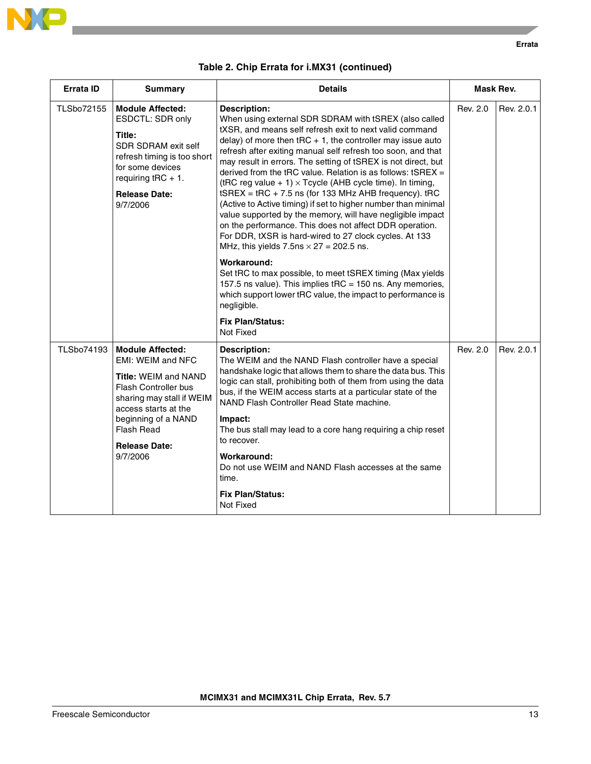

| <b>Errata ID</b>  | <b>Summary</b>                                                                                                                                                                                                                           | <b>Details</b>                                                                                                                                                                                                                                                                                                                                                                                                                                                                                                                                                                                                                                                                                                                                                                                                                                                                                                                                                                                                                                                                                                            | Mask Rev. |            |
|-------------------|------------------------------------------------------------------------------------------------------------------------------------------------------------------------------------------------------------------------------------------|---------------------------------------------------------------------------------------------------------------------------------------------------------------------------------------------------------------------------------------------------------------------------------------------------------------------------------------------------------------------------------------------------------------------------------------------------------------------------------------------------------------------------------------------------------------------------------------------------------------------------------------------------------------------------------------------------------------------------------------------------------------------------------------------------------------------------------------------------------------------------------------------------------------------------------------------------------------------------------------------------------------------------------------------------------------------------------------------------------------------------|-----------|------------|
| TLSbo72155        | <b>Module Affected:</b><br>ESDCTL: SDR only<br>Title:<br><b>SDR SDRAM exit self</b><br>refresh timing is too short<br>for some devices<br>requiring $tRC + 1$ .<br><b>Release Date:</b><br>9/7/2006                                      | <b>Description:</b><br>When using external SDR SDRAM with tSREX (also called<br>tXSR, and means self refresh exit to next valid command<br>delay) of more then $tRC + 1$ , the controller may issue auto<br>refresh after exiting manual self refresh too soon, and that<br>may result in errors. The setting of tSREX is not direct, but<br>derived from the tRC value. Relation is as follows: $tSREX =$<br>(tRC reg value + 1) $\times$ Tcycle (AHB cycle time). In timing,<br>$t$ SREX = $t$ RC + 7.5 ns (for 133 MHz AHB frequency). $t$ RC<br>(Active to Active timing) if set to higher number than minimal<br>value supported by the memory, will have negligible impact<br>on the performance. This does not affect DDR operation.<br>For DDR, tXSR is hard-wired to 27 clock cycles. At 133<br>MHz, this yields $7.5$ ns $\times$ 27 = 202.5 ns.<br>Workaround:<br>Set tRC to max possible, to meet tSREX timing (Max yields<br>157.5 ns value). This implies tRC = 150 ns. Any memories,<br>which support lower tRC value, the impact to performance is<br>negligible.<br><b>Fix Plan/Status:</b><br>Not Fixed | Rev. 2.0  | Rev. 2.0.1 |
| <b>TLSbo74193</b> | <b>Module Affected:</b><br>EMI: WEIM and NFC<br><b>Title: WEIM and NAND</b><br>Flash Controller bus<br>sharing may stall if WEIM<br>access starts at the<br>beginning of a NAND<br><b>Flash Read</b><br><b>Release Date:</b><br>9/7/2006 | Description:<br>The WEIM and the NAND Flash controller have a special<br>handshake logic that allows them to share the data bus. This<br>logic can stall, prohibiting both of them from using the data<br>bus, if the WEIM access starts at a particular state of the<br>NAND Flash Controller Read State machine.<br>Impact:<br>The bus stall may lead to a core hang requiring a chip reset<br>to recover.<br>Workaround:<br>Do not use WEIM and NAND Flash accesses at the same<br>time.<br><b>Fix Plan/Status:</b><br>Not Fixed                                                                                                                                                                                                                                                                                                                                                                                                                                                                                                                                                                                       | Rev. 2.0  | Rev. 2.0.1 |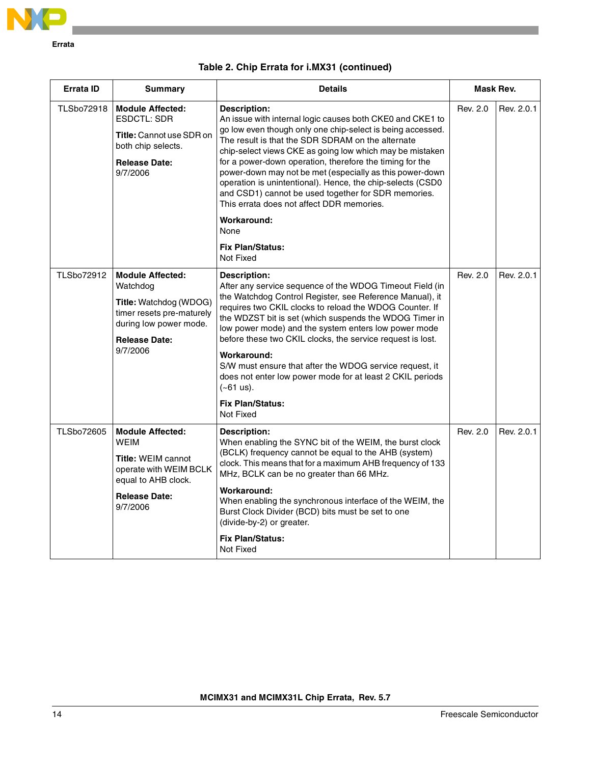

| <b>Errata ID</b>  | <b>Summary</b>                                                                                                                                           | <b>Details</b>                                                                                                                                                                                                                                                                                                                                                                                                                                                                                                                                                                                                           | Mask Rev. |            |
|-------------------|----------------------------------------------------------------------------------------------------------------------------------------------------------|--------------------------------------------------------------------------------------------------------------------------------------------------------------------------------------------------------------------------------------------------------------------------------------------------------------------------------------------------------------------------------------------------------------------------------------------------------------------------------------------------------------------------------------------------------------------------------------------------------------------------|-----------|------------|
| <b>TLSbo72918</b> | <b>Module Affected:</b><br>ESDCTL: SDR<br><b>Title:</b> Cannot use SDR on<br>both chip selects.<br><b>Release Date:</b><br>9/7/2006                      | <b>Description:</b><br>An issue with internal logic causes both CKE0 and CKE1 to<br>go low even though only one chip-select is being accessed.<br>The result is that the SDR SDRAM on the alternate<br>chip-select views CKE as going low which may be mistaken<br>for a power-down operation, therefore the timing for the<br>power-down may not be met (especially as this power-down<br>operation is unintentional). Hence, the chip-selects (CSD0<br>and CSD1) cannot be used together for SDR memories.<br>This errata does not affect DDR memories.<br>Workaround:<br>None<br><b>Fix Plan/Status:</b><br>Not Fixed | Rev. 2.0  | Rev. 2.0.1 |
| <b>TLSbo72912</b> | <b>Module Affected:</b><br>Watchdog<br>Title: Watchdog (WDOG)<br>timer resets pre-maturely<br>during low power mode.<br><b>Release Date:</b><br>9/7/2006 | Description:<br>After any service sequence of the WDOG Timeout Field (in<br>the Watchdog Control Register, see Reference Manual), it<br>requires two CKIL clocks to reload the WDOG Counter. If<br>the WDZST bit is set (which suspends the WDOG Timer in<br>low power mode) and the system enters low power mode<br>before these two CKIL clocks, the service request is lost.<br>Workaround:<br>S/W must ensure that after the WDOG service request, it<br>does not enter low power mode for at least 2 CKIL periods<br>$(-61 \text{ us}).$<br><b>Fix Plan/Status:</b><br>Not Fixed                                    | Rev. 2.0  | Rev. 2.0.1 |
| <b>TLSbo72605</b> | <b>Module Affected:</b><br><b>WEIM</b><br><b>Title: WEIM cannot</b><br>operate with WEIM BCLK<br>equal to AHB clock.<br><b>Release Date:</b><br>9/7/2006 | Description:<br>When enabling the SYNC bit of the WEIM, the burst clock<br>(BCLK) frequency cannot be equal to the AHB (system)<br>clock. This means that for a maximum AHB frequency of 133<br>MHz, BCLK can be no greater than 66 MHz.<br>Workaround:<br>When enabling the synchronous interface of the WEIM, the<br>Burst Clock Divider (BCD) bits must be set to one<br>(divide-by-2) or greater.<br><b>Fix Plan/Status:</b><br>Not Fixed                                                                                                                                                                            | Rev. 2.0  | Rev. 2.0.1 |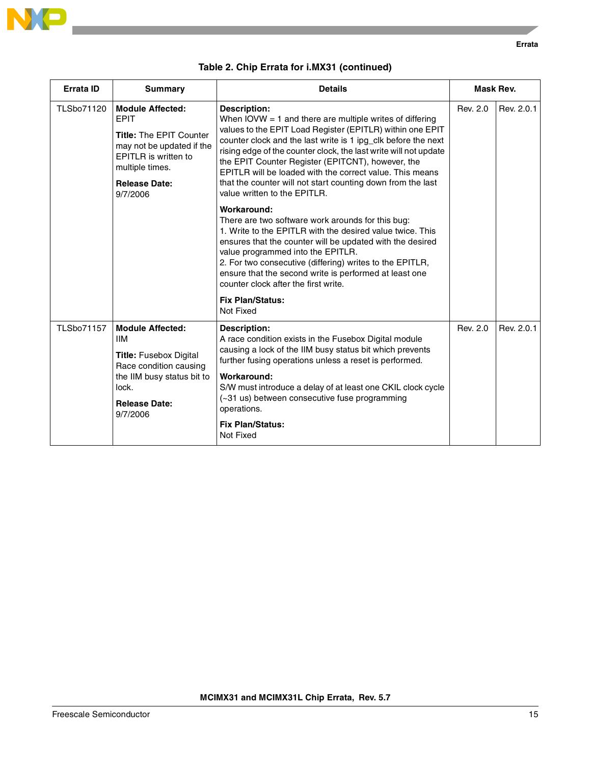

| Errata ID         | <b>Summary</b>                                                                                                                                                                | <b>Details</b>                                                                                                                                                                                                                                                                                                                                                                                                                                                                                                                                                                                                                                                                                                                                                                                                                                                                                                                               | Mask Rev. |            |
|-------------------|-------------------------------------------------------------------------------------------------------------------------------------------------------------------------------|----------------------------------------------------------------------------------------------------------------------------------------------------------------------------------------------------------------------------------------------------------------------------------------------------------------------------------------------------------------------------------------------------------------------------------------------------------------------------------------------------------------------------------------------------------------------------------------------------------------------------------------------------------------------------------------------------------------------------------------------------------------------------------------------------------------------------------------------------------------------------------------------------------------------------------------------|-----------|------------|
| TLSbo71120        | <b>Module Affected:</b><br><b>EPIT</b><br>Title: The EPIT Counter<br>may not be updated if the<br>EPITLR is written to<br>multiple times.<br><b>Release Date:</b><br>9/7/2006 | <b>Description:</b><br>When IOVW $=$ 1 and there are multiple writes of differing<br>values to the EPIT Load Register (EPITLR) within one EPIT<br>counter clock and the last write is 1 ipg_clk before the next<br>rising edge of the counter clock, the last write will not update<br>the EPIT Counter Register (EPITCNT), however, the<br>EPITLR will be loaded with the correct value. This means<br>that the counter will not start counting down from the last<br>value written to the EPITLR.<br>Workaround:<br>There are two software work arounds for this bug:<br>1. Write to the EPITLR with the desired value twice. This<br>ensures that the counter will be updated with the desired<br>value programmed into the EPITLR.<br>2. For two consecutive (differing) writes to the EPITLR,<br>ensure that the second write is performed at least one<br>counter clock after the first write.<br><b>Fix Plan/Status:</b><br>Not Fixed | Rev. 2.0  | Rev. 2.0.1 |
| <b>TLSbo71157</b> | <b>Module Affected:</b><br><b>IIM</b><br><b>Title:</b> Fusebox Digital<br>Race condition causing<br>the IIM busy status bit to<br>lock.<br><b>Release Date:</b><br>9/7/2006   | <b>Description:</b><br>A race condition exists in the Fusebox Digital module<br>causing a lock of the IIM busy status bit which prevents<br>further fusing operations unless a reset is performed.<br>Workaround:<br>S/W must introduce a delay of at least one CKIL clock cycle<br>(~31 us) between consecutive fuse programming<br>operations.<br><b>Fix Plan/Status:</b><br>Not Fixed                                                                                                                                                                                                                                                                                                                                                                                                                                                                                                                                                     | Rev. 2.0  | Rev. 2.0.1 |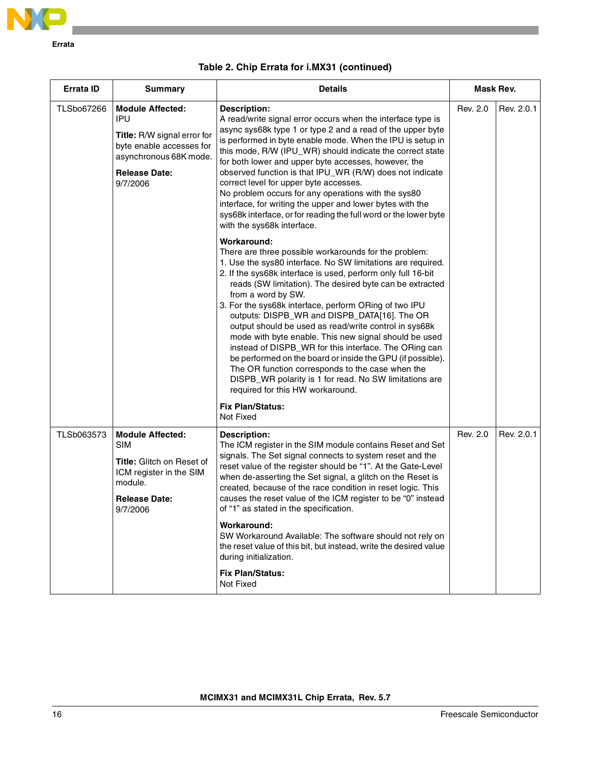

| <b>Errata ID</b> | <b>Summary</b>                                                                                                                                                 | <b>Details</b>                                                                                                                                                                                                                                                                                                                                                                                                                                                                                                                                                                                                                                                                                                                                                                                                       | Mask Rev. |            |
|------------------|----------------------------------------------------------------------------------------------------------------------------------------------------------------|----------------------------------------------------------------------------------------------------------------------------------------------------------------------------------------------------------------------------------------------------------------------------------------------------------------------------------------------------------------------------------------------------------------------------------------------------------------------------------------------------------------------------------------------------------------------------------------------------------------------------------------------------------------------------------------------------------------------------------------------------------------------------------------------------------------------|-----------|------------|
| TLSbo67266       | <b>Module Affected:</b><br><b>IPU</b><br>Title: R/W signal error for<br>byte enable accesses for<br>asynchronous 68K mode.<br><b>Release Date:</b><br>9/7/2006 | <b>Description:</b><br>A read/write signal error occurs when the interface type is<br>async sys68k type 1 or type 2 and a read of the upper byte<br>is performed in byte enable mode. When the IPU is setup in<br>this mode, R/W (IPU_WR) should indicate the correct state<br>for both lower and upper byte accesses, however, the<br>observed function is that IPU_WR (R/W) does not indicate<br>correct level for upper byte accesses.<br>No problem occurs for any operations with the sys80<br>interface, for writing the upper and lower bytes with the<br>sys68k interface, or for reading the full word or the lower byte<br>with the sys68k interface.                                                                                                                                                      |           | Rev. 2.0.1 |
|                  |                                                                                                                                                                | Workaround:<br>There are three possible workarounds for the problem:<br>1. Use the sys80 interface. No SW limitations are required.<br>2. If the sys68k interface is used, perform only full 16-bit<br>reads (SW limitation). The desired byte can be extracted<br>from a word by SW.<br>3. For the sys68k interface, perform ORing of two IPU<br>outputs: DISPB_WR and DISPB_DATA[16]. The OR<br>output should be used as read/write control in sys68k<br>mode with byte enable. This new signal should be used<br>instead of DISPB_WR for this interface. The ORing can<br>be performed on the board or inside the GPU (if possible).<br>The OR function corresponds to the case when the<br>DISPB_WR polarity is 1 for read. No SW limitations are<br>required for this HW workaround.<br><b>Fix Plan/Status:</b> |           |            |
| TLSb063573       | <b>Module Affected:</b><br><b>SIM</b><br><b>Title:</b> Glitch on Reset of<br>ICM register in the SIM<br>module.<br><b>Release Date:</b><br>9/7/2006            | Not Fixed<br><b>Description:</b><br>The ICM register in the SIM module contains Reset and Set<br>signals. The Set signal connects to system reset and the<br>reset value of the register should be "1". At the Gate-Level<br>when de-asserting the Set signal, a glitch on the Reset is<br>created, because of the race condition in reset logic. This<br>causes the reset value of the ICM register to be "0" instead<br>of "1" as stated in the specification.<br>Workaround:<br>SW Workaround Available: The software should not rely on<br>the reset value of this bit, but instead, write the desired value<br>during initialization.<br><b>Fix Plan/Status:</b><br>Not Fixed                                                                                                                                   | Rev. 2.0  | Rev. 2.0.1 |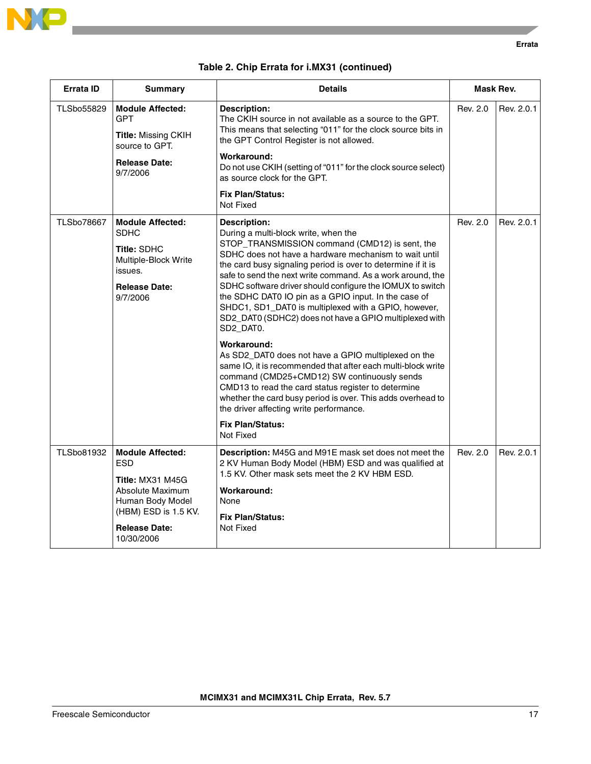

|  |  |  |  | Table 2. Chip Errata for i.MX31 (continued) |
|--|--|--|--|---------------------------------------------|
|--|--|--|--|---------------------------------------------|

| <b>Errata ID</b>  | <b>Summary</b>                                                                                                                                                  | <b>Details</b>                                                                                                                                                                                                                                                                                                                                                                                                                                                                                                                                                                                                                                                                                                                                                                                                                                                                                                                                         | Mask Rev. |            |
|-------------------|-----------------------------------------------------------------------------------------------------------------------------------------------------------------|--------------------------------------------------------------------------------------------------------------------------------------------------------------------------------------------------------------------------------------------------------------------------------------------------------------------------------------------------------------------------------------------------------------------------------------------------------------------------------------------------------------------------------------------------------------------------------------------------------------------------------------------------------------------------------------------------------------------------------------------------------------------------------------------------------------------------------------------------------------------------------------------------------------------------------------------------------|-----------|------------|
| TLSbo55829        | <b>Module Affected:</b><br><b>GPT</b><br><b>Title: Missing CKIH</b><br>source to GPT.<br><b>Release Date:</b><br>9/7/2006                                       | <b>Description:</b><br>The CKIH source in not available as a source to the GPT.<br>This means that selecting "011" for the clock source bits in<br>the GPT Control Register is not allowed.<br>Workaround:<br>Do not use CKIH (setting of "011" for the clock source select)<br>as source clock for the GPT.<br><b>Fix Plan/Status:</b><br>Not Fixed                                                                                                                                                                                                                                                                                                                                                                                                                                                                                                                                                                                                   | Rev. 2.0  | Rev. 2.0.1 |
| <b>TLSbo78667</b> | <b>Module Affected:</b><br><b>SDHC</b><br><b>Title: SDHC</b><br>Multiple-Block Write<br>issues.<br><b>Release Date:</b><br>9/7/2006                             | <b>Description:</b><br>During a multi-block write, when the<br>STOP_TRANSMISSION command (CMD12) is sent, the<br>SDHC does not have a hardware mechanism to wait until<br>the card busy signaling period is over to determine if it is<br>safe to send the next write command. As a work around, the<br>SDHC software driver should configure the IOMUX to switch<br>the SDHC DAT0 IO pin as a GPIO input. In the case of<br>SHDC1, SD1_DAT0 is multiplexed with a GPIO, however,<br>SD2_DAT0 (SDHC2) does not have a GPIO multiplexed with<br>SD2_DAT0.<br>Workaround:<br>As SD2_DAT0 does not have a GPIO multiplexed on the<br>same IO, it is recommended that after each multi-block write<br>command (CMD25+CMD12) SW continuously sends<br>CMD13 to read the card status register to determine<br>whether the card busy period is over. This adds overhead to<br>the driver affecting write performance.<br><b>Fix Plan/Status:</b><br>Not Fixed | Rev. 2.0  | Rev. 2.0.1 |
| <b>TLSbo81932</b> | <b>Module Affected:</b><br><b>ESD</b><br>Title: MX31 M45G<br>Absolute Maximum<br>Human Body Model<br>(HBM) ESD is 1.5 KV.<br><b>Release Date:</b><br>10/30/2006 | Description: M45G and M91E mask set does not meet the<br>2 KV Human Body Model (HBM) ESD and was qualified at<br>1.5 KV. Other mask sets meet the 2 KV HBM ESD.<br>Workaround:<br>None<br><b>Fix Plan/Status:</b><br>Not Fixed                                                                                                                                                                                                                                                                                                                                                                                                                                                                                                                                                                                                                                                                                                                         | Rev. 2.0  | Rev. 2.0.1 |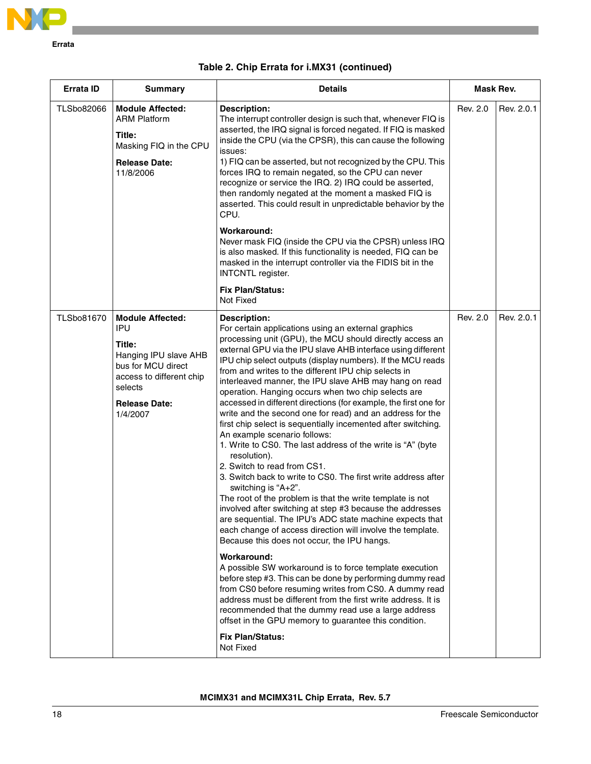

| Errata ID         | <b>Summary</b>                                                                                                                                                            | <b>Details</b>                                                                                                                                                                                                                                                                                                                                                                                                                                                                                                                                                                                                                                                                                                                                                                                                                                                                                                                                                                                                                                                                                                                                                                                                                                                                                                                                                                                                                                                                                                                                                                                                      | Mask Rev. |            |
|-------------------|---------------------------------------------------------------------------------------------------------------------------------------------------------------------------|---------------------------------------------------------------------------------------------------------------------------------------------------------------------------------------------------------------------------------------------------------------------------------------------------------------------------------------------------------------------------------------------------------------------------------------------------------------------------------------------------------------------------------------------------------------------------------------------------------------------------------------------------------------------------------------------------------------------------------------------------------------------------------------------------------------------------------------------------------------------------------------------------------------------------------------------------------------------------------------------------------------------------------------------------------------------------------------------------------------------------------------------------------------------------------------------------------------------------------------------------------------------------------------------------------------------------------------------------------------------------------------------------------------------------------------------------------------------------------------------------------------------------------------------------------------------------------------------------------------------|-----------|------------|
| <b>TLSbo82066</b> | <b>Module Affected:</b><br><b>ARM Platform</b><br>Title:<br>Masking FIQ in the CPU<br><b>Release Date:</b><br>11/8/2006                                                   | <b>Description:</b><br>The interrupt controller design is such that, whenever FIQ is<br>asserted, the IRQ signal is forced negated. If FIQ is masked<br>inside the CPU (via the CPSR), this can cause the following<br>issues:<br>1) FIQ can be asserted, but not recognized by the CPU. This<br>forces IRQ to remain negated, so the CPU can never<br>recognize or service the IRQ. 2) IRQ could be asserted,<br>then randomly negated at the moment a masked FIQ is<br>asserted. This could result in unpredictable behavior by the<br>CPU.<br>Workaround:<br>Never mask FIQ (inside the CPU via the CPSR) unless IRQ<br>is also masked. If this functionality is needed, FIQ can be<br>masked in the interrupt controller via the FIDIS bit in the<br><b>INTCNTL</b> register.                                                                                                                                                                                                                                                                                                                                                                                                                                                                                                                                                                                                                                                                                                                                                                                                                                   | Rev. 2.0  | Rev. 2.0.1 |
|                   |                                                                                                                                                                           | <b>Fix Plan/Status:</b><br>Not Fixed                                                                                                                                                                                                                                                                                                                                                                                                                                                                                                                                                                                                                                                                                                                                                                                                                                                                                                                                                                                                                                                                                                                                                                                                                                                                                                                                                                                                                                                                                                                                                                                |           |            |
| <b>TLSbo81670</b> | <b>Module Affected:</b><br><b>IPU</b><br>Title:<br>Hanging IPU slave AHB<br>bus for MCU direct<br>access to different chip<br>selects<br><b>Release Date:</b><br>1/4/2007 | <b>Description:</b><br>For certain applications using an external graphics<br>processing unit (GPU), the MCU should directly access an<br>external GPU via the IPU slave AHB interface using different<br>IPU chip select outputs (display numbers). If the MCU reads<br>from and writes to the different IPU chip selects in<br>interleaved manner, the IPU slave AHB may hang on read<br>operation. Hanging occurs when two chip selects are<br>accessed in different directions (for example, the first one for<br>write and the second one for read) and an address for the<br>first chip select is sequentially incemented after switching.<br>An example scenario follows:<br>1. Write to CS0. The last address of the write is "A" (byte<br>resolution).<br>2. Switch to read from CS1.<br>3. Switch back to write to CS0. The first write address after<br>switching is "A+2".<br>The root of the problem is that the write template is not<br>involved after switching at step #3 because the addresses<br>are sequential. The IPU's ADC state machine expects that<br>each change of access direction will involve the template.<br>Because this does not occur, the IPU hangs.<br>Workaround:<br>A possible SW workaround is to force template execution<br>before step #3. This can be done by performing dummy read<br>from CS0 before resuming writes from CS0. A dummy read<br>address must be different from the first write address. It is<br>recommended that the dummy read use a large address<br>offset in the GPU memory to guarantee this condition.<br><b>Fix Plan/Status:</b><br>Not Fixed | Rev. 2.0  | Rev. 2.0.1 |

|  |  |  |  |  | Table 2. Chip Errata for i.MX31 (continued) |
|--|--|--|--|--|---------------------------------------------|
|--|--|--|--|--|---------------------------------------------|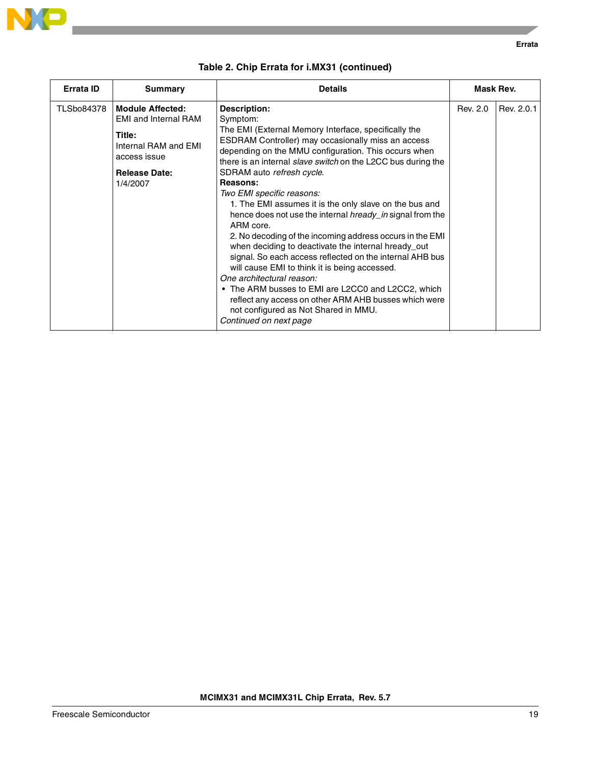

| <b>Errata ID</b>  | <b>Summary</b>                                                                                                                               | <b>Details</b>                                                                                                                                                                                                                                                                                                                                                                                                                                                                                                                                                                                                                                                                                                                                                                                                                                                                                                                              | Mask Rev. |            |
|-------------------|----------------------------------------------------------------------------------------------------------------------------------------------|---------------------------------------------------------------------------------------------------------------------------------------------------------------------------------------------------------------------------------------------------------------------------------------------------------------------------------------------------------------------------------------------------------------------------------------------------------------------------------------------------------------------------------------------------------------------------------------------------------------------------------------------------------------------------------------------------------------------------------------------------------------------------------------------------------------------------------------------------------------------------------------------------------------------------------------------|-----------|------------|
| <b>TLSbo84378</b> | <b>Module Affected:</b><br><b>EMI and Internal RAM</b><br>Title:<br>Internal RAM and EMI<br>access issue<br><b>Release Date:</b><br>1/4/2007 | <b>Description:</b><br>Symptom:<br>The EMI (External Memory Interface, specifically the<br>ESDRAM Controller) may occasionally miss an access<br>depending on the MMU configuration. This occurs when<br>there is an internal <i>slave switch</i> on the L2CC bus during the<br>SDRAM auto refresh cycle.<br>Reasons:<br>Two EMI specific reasons:<br>1. The EMI assumes it is the only slave on the bus and<br>hence does not use the internal <i>hready in</i> signal from the<br>ARM core.<br>2. No decoding of the incoming address occurs in the EMI<br>when deciding to deactivate the internal hready_out<br>signal. So each access reflected on the internal AHB bus<br>will cause EMI to think it is being accessed.<br>One architectural reason:<br>• The ARM busses to EMI are L2CC0 and L2CC2, which<br>reflect any access on other ARM AHB busses which were<br>not configured as Not Shared in MMU.<br>Continued on next page | Rev. 2.0  | Rev. 2.0.1 |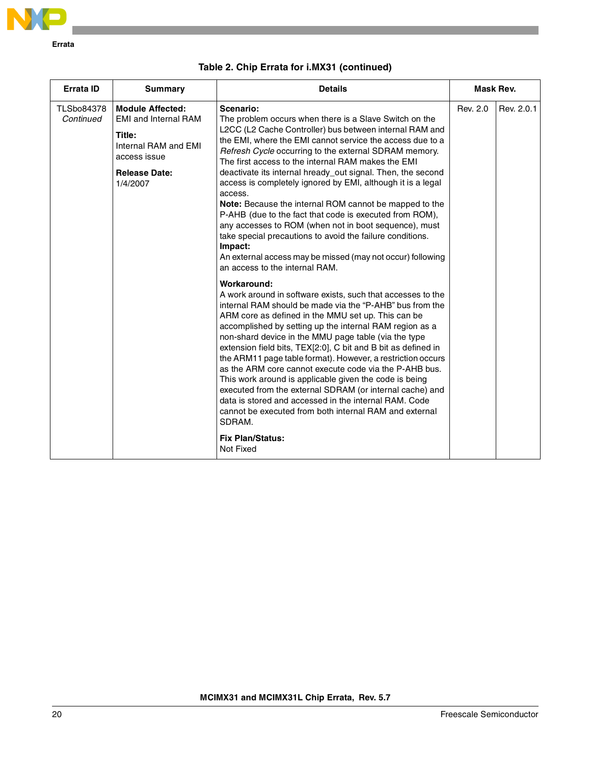

| <b>Errata ID</b>               | <b>Summary</b>                                                                                                                               | <b>Details</b>                                                                                                                                                                                                                                                                                                                                                                                                                                                                                                                                                                                                                                                                                                                                                                                                                                                                                                                                                                                                                                                                                                                                                                                | Mask Rev. |            |
|--------------------------------|----------------------------------------------------------------------------------------------------------------------------------------------|-----------------------------------------------------------------------------------------------------------------------------------------------------------------------------------------------------------------------------------------------------------------------------------------------------------------------------------------------------------------------------------------------------------------------------------------------------------------------------------------------------------------------------------------------------------------------------------------------------------------------------------------------------------------------------------------------------------------------------------------------------------------------------------------------------------------------------------------------------------------------------------------------------------------------------------------------------------------------------------------------------------------------------------------------------------------------------------------------------------------------------------------------------------------------------------------------|-----------|------------|
| <b>TLSbo84378</b><br>Continued | <b>Module Affected:</b><br><b>EMI and Internal RAM</b><br>Title:<br>Internal RAM and EMI<br>access issue<br><b>Release Date:</b><br>1/4/2007 | Scenario:<br>The problem occurs when there is a Slave Switch on the<br>L2CC (L2 Cache Controller) bus between internal RAM and<br>the EMI, where the EMI cannot service the access due to a<br>Refresh Cycle occurring to the external SDRAM memory.<br>The first access to the internal RAM makes the EMI<br>deactivate its internal hready_out signal. Then, the second<br>access is completely ignored by EMI, although it is a legal<br>access.<br>Note: Because the internal ROM cannot be mapped to the<br>P-AHB (due to the fact that code is executed from ROM),<br>any accesses to ROM (when not in boot sequence), must<br>take special precautions to avoid the failure conditions.<br>Impact:<br>An external access may be missed (may not occur) following<br>an access to the internal RAM.<br>Workaround:<br>A work around in software exists, such that accesses to the<br>internal RAM should be made via the "P-AHB" bus from the<br>ARM core as defined in the MMU set up. This can be<br>accomplished by setting up the internal RAM region as a<br>non-shard device in the MMU page table (via the type<br>extension field bits, TEX[2:0], C bit and B bit as defined in | Rev. 2.0  | Rev. 2.0.1 |
|                                |                                                                                                                                              | the ARM11 page table format). However, a restriction occurs<br>as the ARM core cannot execute code via the P-AHB bus.<br>This work around is applicable given the code is being<br>executed from the external SDRAM (or internal cache) and<br>data is stored and accessed in the internal RAM. Code<br>cannot be executed from both internal RAM and external<br>SDRAM.                                                                                                                                                                                                                                                                                                                                                                                                                                                                                                                                                                                                                                                                                                                                                                                                                      |           |            |
|                                |                                                                                                                                              | <b>Fix Plan/Status:</b><br>Not Fixed                                                                                                                                                                                                                                                                                                                                                                                                                                                                                                                                                                                                                                                                                                                                                                                                                                                                                                                                                                                                                                                                                                                                                          |           |            |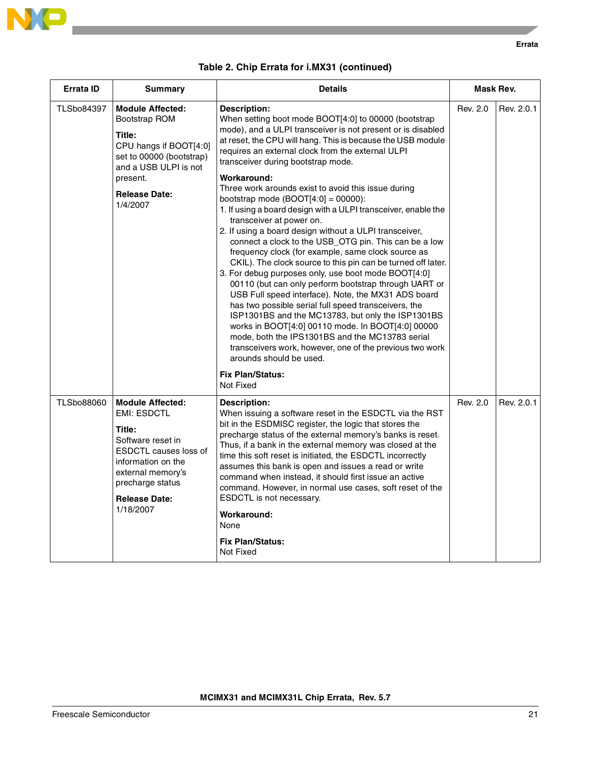

**Errata**

| <b>Errata ID</b>  | <b>Summary</b>                                                                                                                                                                                                   | <b>Details</b>                                                                                                                                                                                                                                                                                                                                                                                                                                                                                                                                                                                                                                                                                                                                                                                                                                                                                                                                                                                                                                                                                                                                                                                                                                                                         | Mask Rev. |            |
|-------------------|------------------------------------------------------------------------------------------------------------------------------------------------------------------------------------------------------------------|----------------------------------------------------------------------------------------------------------------------------------------------------------------------------------------------------------------------------------------------------------------------------------------------------------------------------------------------------------------------------------------------------------------------------------------------------------------------------------------------------------------------------------------------------------------------------------------------------------------------------------------------------------------------------------------------------------------------------------------------------------------------------------------------------------------------------------------------------------------------------------------------------------------------------------------------------------------------------------------------------------------------------------------------------------------------------------------------------------------------------------------------------------------------------------------------------------------------------------------------------------------------------------------|-----------|------------|
| <b>TLSbo84397</b> | <b>Module Affected:</b><br>Bootstrap ROM<br>Title:<br>CPU hangs if BOOT[4:0]<br>set to 00000 (bootstrap)<br>and a USB ULPI is not<br>present.<br><b>Release Date:</b><br>1/4/2007                                | <b>Description:</b><br>When setting boot mode BOOT[4:0] to 00000 (bootstrap<br>mode), and a ULPI transceiver is not present or is disabled<br>at reset, the CPU will hang. This is because the USB module<br>requires an external clock from the external ULPI<br>transceiver during bootstrap mode.<br>Workaround:<br>Three work arounds exist to avoid this issue during<br>bootstrap mode $(BOOT[4:0] = 00000)$ :<br>1. If using a board design with a ULPI transceiver, enable the<br>transceiver at power on.<br>2. If using a board design without a ULPI transceiver,<br>connect a clock to the USB_OTG pin. This can be a low<br>frequency clock (for example, same clock source as<br>CKIL). The clock source to this pin can be turned off later.<br>3. For debug purposes only, use boot mode BOOT[4:0]<br>00110 (but can only perform bootstrap through UART or<br>USB Full speed interface). Note, the MX31 ADS board<br>has two possible serial full speed transceivers, the<br>ISP1301BS and the MC13783, but only the ISP1301BS<br>works in BOOT[4:0] 00110 mode. In BOOT[4:0] 00000<br>mode, both the IPS1301BS and the MC13783 serial<br>transceivers work, however, one of the previous two work<br>arounds should be used.<br><b>Fix Plan/Status:</b><br>Not Fixed | Rev. 2.0  | Rev. 2.0.1 |
| <b>TLSbo88060</b> | <b>Module Affected:</b><br><b>EMI: ESDCTL</b><br>Title:<br>Software reset in<br><b>ESDCTL causes loss of</b><br>information on the<br>external memory's<br>precharge status<br><b>Release Date:</b><br>1/18/2007 | <b>Description:</b><br>When issuing a software reset in the ESDCTL via the RST<br>bit in the ESDMISC register, the logic that stores the<br>precharge status of the external memory's banks is reset.<br>Thus, if a bank in the external memory was closed at the<br>time this soft reset is initiated, the ESDCTL incorrectly<br>assumes this bank is open and issues a read or write<br>command when instead, it should first issue an active<br>command. However, in normal use cases, soft reset of the<br>ESDCTL is not necessary.<br>Workaround:<br>None<br><b>Fix Plan/Status:</b><br>Not Fixed                                                                                                                                                                                                                                                                                                                                                                                                                                                                                                                                                                                                                                                                                 | Rev. 2.0  | Rev. 2.0.1 |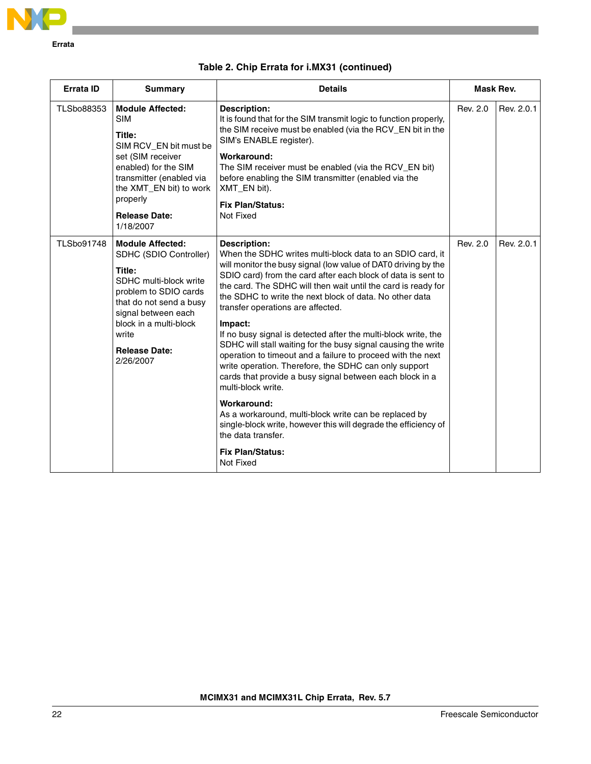

| <b>Errata ID</b>  | <b>Summary</b>                                                                                                                                                                                                                           | <b>Details</b>                                                                                                                                                                                                                                                                                                                                                                                                                                                                                                                                                                                                                                                                                                                                                                                                                                                                                                                                       | Mask Rev. |            |
|-------------------|------------------------------------------------------------------------------------------------------------------------------------------------------------------------------------------------------------------------------------------|------------------------------------------------------------------------------------------------------------------------------------------------------------------------------------------------------------------------------------------------------------------------------------------------------------------------------------------------------------------------------------------------------------------------------------------------------------------------------------------------------------------------------------------------------------------------------------------------------------------------------------------------------------------------------------------------------------------------------------------------------------------------------------------------------------------------------------------------------------------------------------------------------------------------------------------------------|-----------|------------|
| <b>TLSbo88353</b> | <b>Module Affected:</b><br><b>SIM</b><br>Title:<br>SIM RCV EN bit must be<br>set (SIM receiver<br>enabled) for the SIM<br>transmitter (enabled via<br>the XMT_EN bit) to work<br>properly<br><b>Release Date:</b><br>1/18/2007           | Description:<br>It is found that for the SIM transmit logic to function properly,<br>the SIM receive must be enabled (via the RCV_EN bit in the<br>SIM's ENABLE register).<br>Workaround:<br>The SIM receiver must be enabled (via the RCV_EN bit)<br>before enabling the SIM transmitter (enabled via the<br>XMT_EN bit).<br><b>Fix Plan/Status:</b><br>Not Fixed                                                                                                                                                                                                                                                                                                                                                                                                                                                                                                                                                                                   | Rev. 2.0  | Rev. 2.0.1 |
| <b>TLSbo91748</b> | <b>Module Affected:</b><br>SDHC (SDIO Controller)<br>Title:<br>SDHC multi-block write<br>problem to SDIO cards<br>that do not send a busy<br>signal between each<br>block in a multi-block<br>write<br><b>Release Date:</b><br>2/26/2007 | <b>Description:</b><br>When the SDHC writes multi-block data to an SDIO card, it<br>will monitor the busy signal (low value of DAT0 driving by the<br>SDIO card) from the card after each block of data is sent to<br>the card. The SDHC will then wait until the card is ready for<br>the SDHC to write the next block of data. No other data<br>transfer operations are affected.<br>Impact:<br>If no busy signal is detected after the multi-block write, the<br>SDHC will stall waiting for the busy signal causing the write<br>operation to timeout and a failure to proceed with the next<br>write operation. Therefore, the SDHC can only support<br>cards that provide a busy signal between each block in a<br>multi-block write.<br>Workaround:<br>As a workaround, multi-block write can be replaced by<br>single-block write, however this will degrade the efficiency of<br>the data transfer.<br><b>Fix Plan/Status:</b><br>Not Fixed | Rev. 2.0  | Rev. 2.0.1 |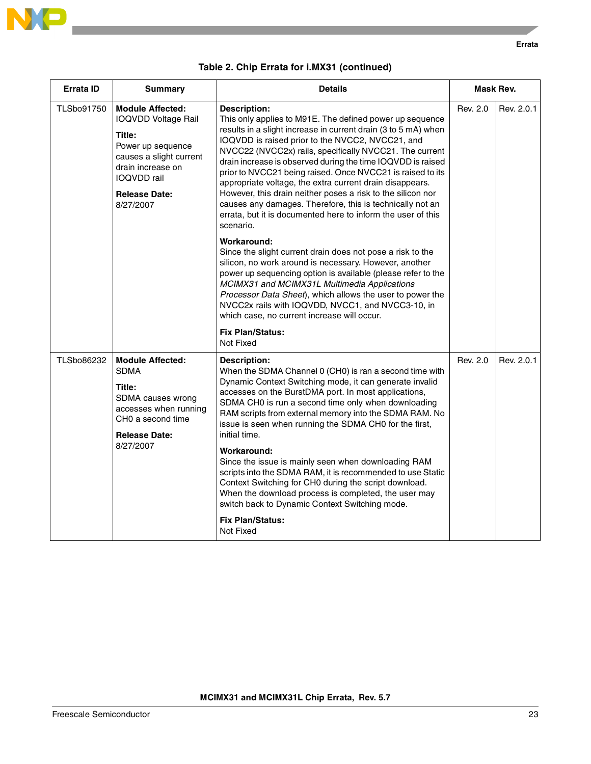

#### **Errata**

| Errata ID         | <b>Summary</b>                                                                                                                                                                                  | <b>Details</b>                                                                                                                                                                                                                                                                                                                                                                                                                                                                                                                                                                                                                                                                                                                                                                                                                                                                                                                                                                                                                                                                                                                     | Mask Rev. |            |
|-------------------|-------------------------------------------------------------------------------------------------------------------------------------------------------------------------------------------------|------------------------------------------------------------------------------------------------------------------------------------------------------------------------------------------------------------------------------------------------------------------------------------------------------------------------------------------------------------------------------------------------------------------------------------------------------------------------------------------------------------------------------------------------------------------------------------------------------------------------------------------------------------------------------------------------------------------------------------------------------------------------------------------------------------------------------------------------------------------------------------------------------------------------------------------------------------------------------------------------------------------------------------------------------------------------------------------------------------------------------------|-----------|------------|
| <b>TLSbo91750</b> | <b>Module Affected:</b><br><b>IOQVDD Voltage Rail</b><br>Title:<br>Power up sequence<br>causes a slight current<br>drain increase on<br><b>IOQVDD</b> rail<br><b>Release Date:</b><br>8/27/2007 | <b>Description:</b><br>This only applies to M91E. The defined power up sequence<br>results in a slight increase in current drain (3 to 5 mA) when<br>IOQVDD is raised prior to the NVCC2, NVCC21, and<br>NVCC22 (NVCC2x) rails, specifically NVCC21. The current<br>drain increase is observed during the time IOQVDD is raised<br>prior to NVCC21 being raised. Once NVCC21 is raised to its<br>appropriate voltage, the extra current drain disappears.<br>However, this drain neither poses a risk to the silicon nor<br>causes any damages. Therefore, this is technically not an<br>errata, but it is documented here to inform the user of this<br>scenario.<br>Workaround:<br>Since the slight current drain does not pose a risk to the<br>silicon, no work around is necessary. However, another<br>power up sequencing option is available (please refer to the<br>MCIMX31 and MCIMX31L Multimedia Applications<br>Processor Data Sheet), which allows the user to power the<br>NVCC2x rails with IOQVDD, NVCC1, and NVCC3-10, in<br>which case, no current increase will occur.<br><b>Fix Plan/Status:</b><br>Not Fixed | Rev. 2.0  | Rev. 2.0.1 |
| TLSbo86232        | <b>Module Affected:</b><br><b>SDMA</b><br>Title:<br>SDMA causes wrong<br>accesses when running<br>CHO a second time<br><b>Release Date:</b><br>8/27/2007                                        | Description:<br>When the SDMA Channel 0 (CH0) is ran a second time with<br>Dynamic Context Switching mode, it can generate invalid<br>accesses on the BurstDMA port. In most applications,<br>SDMA CH0 is run a second time only when downloading<br>RAM scripts from external memory into the SDMA RAM. No<br>issue is seen when running the SDMA CHO for the first,<br>initial time.<br>Workaround:<br>Since the issue is mainly seen when downloading RAM<br>scripts into the SDMA RAM, it is recommended to use Static<br>Context Switching for CH0 during the script download.<br>When the download process is completed, the user may<br>switch back to Dynamic Context Switching mode.<br><b>Fix Plan/Status:</b><br>Not Fixed                                                                                                                                                                                                                                                                                                                                                                                              | Rev. 2.0  | Rev. 2.0.1 |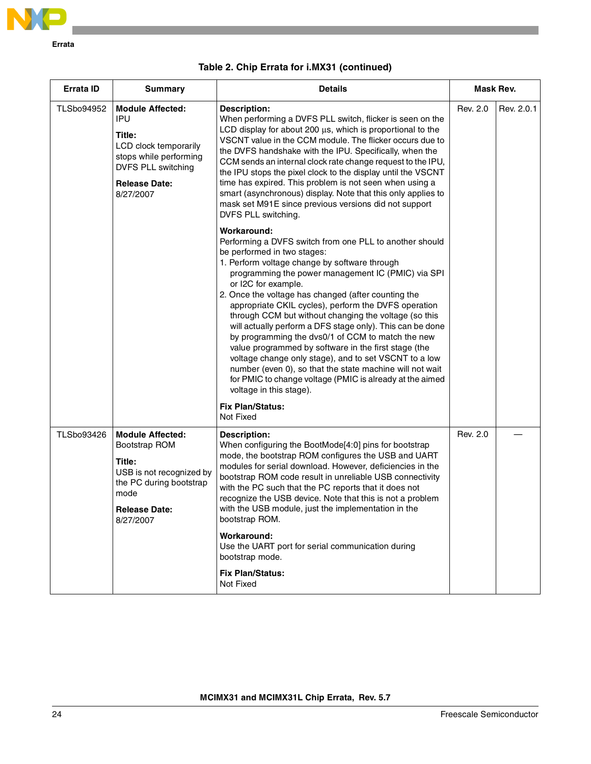

| Errata ID         | <b>Summary</b>                                                                                                                                                | <b>Details</b>                                                                                                                                                                                                                                                                                                                                                                                                                                                                                                                                                                                                                                                                                                                                                                                                                                                                                                                                                                                                                                                                                                                                                                                                                                                                                                                                                                                                                                               |          | Mask Rev.  |  |
|-------------------|---------------------------------------------------------------------------------------------------------------------------------------------------------------|--------------------------------------------------------------------------------------------------------------------------------------------------------------------------------------------------------------------------------------------------------------------------------------------------------------------------------------------------------------------------------------------------------------------------------------------------------------------------------------------------------------------------------------------------------------------------------------------------------------------------------------------------------------------------------------------------------------------------------------------------------------------------------------------------------------------------------------------------------------------------------------------------------------------------------------------------------------------------------------------------------------------------------------------------------------------------------------------------------------------------------------------------------------------------------------------------------------------------------------------------------------------------------------------------------------------------------------------------------------------------------------------------------------------------------------------------------------|----------|------------|--|
| <b>TLSbo94952</b> | <b>Module Affected:</b><br><b>IPU</b><br>Title:<br>LCD clock temporarily<br>stops while performing<br>DVFS PLL switching<br><b>Release Date:</b><br>8/27/2007 | <b>Description:</b><br>When performing a DVFS PLL switch, flicker is seen on the<br>LCD display for about 200 µs, which is proportional to the<br>VSCNT value in the CCM module. The flicker occurs due to<br>the DVFS handshake with the IPU. Specifically, when the<br>CCM sends an internal clock rate change request to the IPU,<br>the IPU stops the pixel clock to the display until the VSCNT<br>time has expired. This problem is not seen when using a<br>smart (asynchronous) display. Note that this only applies to<br>mask set M91E since previous versions did not support<br>DVFS PLL switching.<br>Workaround:<br>Performing a DVFS switch from one PLL to another should<br>be performed in two stages:<br>1. Perform voltage change by software through<br>programming the power management IC (PMIC) via SPI<br>or I2C for example.<br>2. Once the voltage has changed (after counting the<br>appropriate CKIL cycles), perform the DVFS operation<br>through CCM but without changing the voltage (so this<br>will actually perform a DFS stage only). This can be done<br>by programming the dvs0/1 of CCM to match the new<br>value programmed by software in the first stage (the<br>voltage change only stage), and to set VSCNT to a low<br>number (even 0), so that the state machine will not wait<br>for PMIC to change voltage (PMIC is already at the aimed<br>voltage in this stage).<br><b>Fix Plan/Status:</b><br>Not Fixed | Rev. 2.0 | Rev. 2.0.1 |  |
| <b>TLSbo93426</b> | <b>Module Affected:</b><br>Bootstrap ROM<br>Title:<br>USB is not recognized by<br>the PC during bootstrap<br>mode<br><b>Release Date:</b><br>8/27/2007        | <b>Description:</b><br>When configuring the BootMode[4:0] pins for bootstrap<br>mode, the bootstrap ROM configures the USB and UART<br>modules for serial download. However, deficiencies in the<br>bootstrap ROM code result in unreliable USB connectivity<br>with the PC such that the PC reports that it does not<br>recognize the USB device. Note that this is not a problem<br>with the USB module, just the implementation in the<br>bootstrap ROM.<br><b>Workaround:</b><br>Use the UART port for serial communication during<br>bootstrap mode.<br><b>Fix Plan/Status:</b><br>Not Fixed                                                                                                                                                                                                                                                                                                                                                                                                                                                                                                                                                                                                                                                                                                                                                                                                                                                            | Rev. 2.0 |            |  |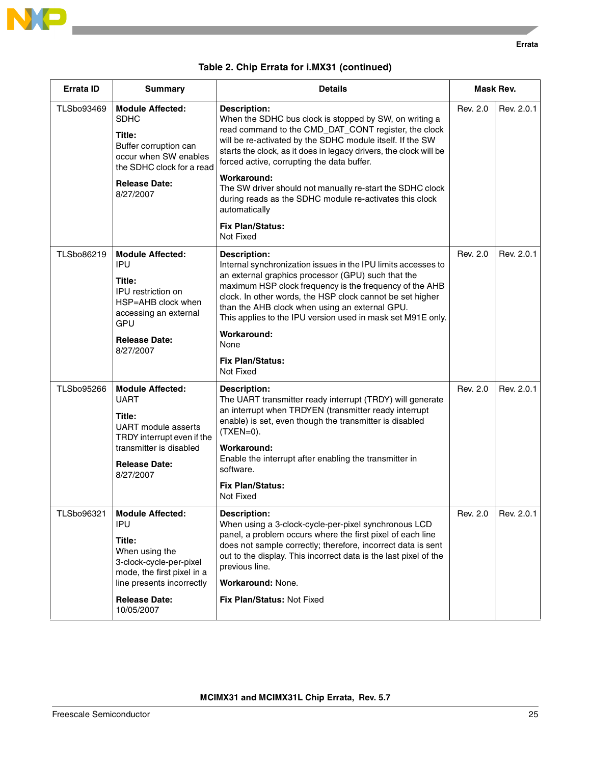

| Errata ID         | <b>Summary</b>                                                                                                                                                                         | <b>Details</b><br><b>Description:</b><br>When the SDHC bus clock is stopped by SW, on writing a<br>read command to the CMD_DAT_CONT register, the clock<br>will be re-activated by the SDHC module itself. If the SW<br>starts the clock, as it does in legacy drivers, the clock will be<br>forced active, corrupting the data buffer.<br>Workaround:<br>The SW driver should not manually re-start the SDHC clock<br>during reads as the SDHC module re-activates this clock<br>automatically<br><b>Fix Plan/Status:</b><br>Not Fixed |          | Mask Rev.  |  |
|-------------------|----------------------------------------------------------------------------------------------------------------------------------------------------------------------------------------|-----------------------------------------------------------------------------------------------------------------------------------------------------------------------------------------------------------------------------------------------------------------------------------------------------------------------------------------------------------------------------------------------------------------------------------------------------------------------------------------------------------------------------------------|----------|------------|--|
| <b>TLSbo93469</b> | <b>Module Affected:</b><br>SDHC<br>Title:<br>Buffer corruption can<br>occur when SW enables<br>the SDHC clock for a read<br><b>Release Date:</b><br>8/27/2007                          |                                                                                                                                                                                                                                                                                                                                                                                                                                                                                                                                         |          | Rev. 2.0.1 |  |
| TLSbo86219        | <b>Module Affected:</b><br><b>IPU</b><br>Title:<br><b>IPU</b> restriction on<br>HSP=AHB clock when<br>accessing an external<br>GPU<br><b>Release Date:</b><br>8/27/2007                | <b>Description:</b><br>Internal synchronization issues in the IPU limits accesses to<br>an external graphics processor (GPU) such that the<br>maximum HSP clock frequency is the frequency of the AHB<br>clock. In other words, the HSP clock cannot be set higher<br>than the AHB clock when using an external GPU.<br>This applies to the IPU version used in mask set M91E only.<br>Workaround:<br>None<br><b>Fix Plan/Status:</b><br>Not Fixed                                                                                      | Rev. 2.0 | Rev. 2.0.1 |  |
| <b>TLSbo95266</b> | <b>Module Affected:</b><br><b>UART</b><br>Title:<br><b>UART</b> module asserts<br>TRDY interrupt even if the<br>transmitter is disabled<br><b>Release Date:</b><br>8/27/2007           | Description:<br>The UART transmitter ready interrupt (TRDY) will generate<br>an interrupt when TRDYEN (transmitter ready interrupt<br>enable) is set, even though the transmitter is disabled<br>$(TXEN=0)$ .<br>Workaround:<br>Enable the interrupt after enabling the transmitter in<br>software.<br><b>Fix Plan/Status:</b><br>Not Fixed                                                                                                                                                                                             | Rev. 2.0 | Rev. 2.0.1 |  |
| TLSbo96321        | Module Affected:<br><b>IPU</b><br>Title:<br>When using the<br>3-clock-cycle-per-pixel<br>mode, the first pixel in a<br>line presents incorrectly<br><b>Release Date:</b><br>10/05/2007 | <b>Description:</b><br>When using a 3-clock-cycle-per-pixel synchronous LCD<br>panel, a problem occurs where the first pixel of each line<br>does not sample correctly; therefore, incorrect data is sent<br>out to the display. This incorrect data is the last pixel of the<br>previous line.<br>Workaround: None.<br>Fix Plan/Status: Not Fixed                                                                                                                                                                                      | Rev. 2.0 | Rev. 2.0.1 |  |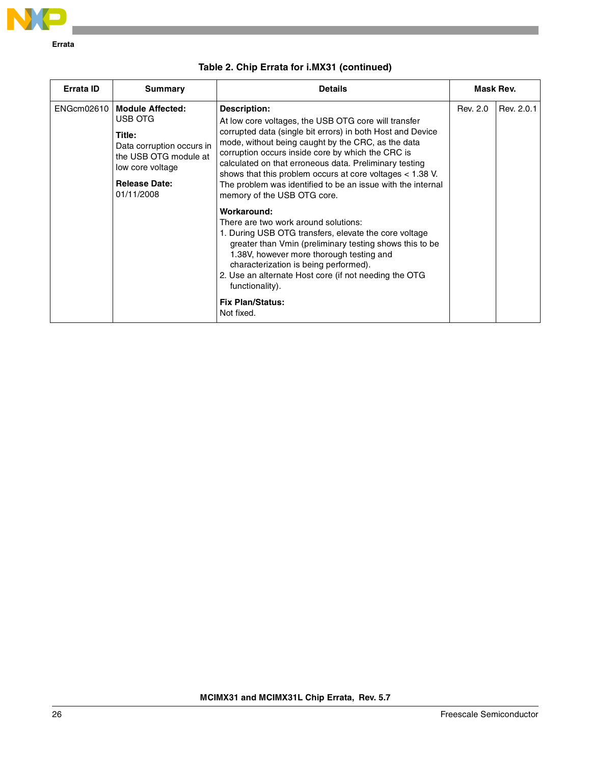

| <b>Errata ID</b> | Summary                                                                                                                                               | <b>Details</b>                                                                                                                                                                                                                                                                                                                                                                                                                                                                                                                                                                                                                                                                                                                                                                                                                                            |          | Mask Rev.  |  |
|------------------|-------------------------------------------------------------------------------------------------------------------------------------------------------|-----------------------------------------------------------------------------------------------------------------------------------------------------------------------------------------------------------------------------------------------------------------------------------------------------------------------------------------------------------------------------------------------------------------------------------------------------------------------------------------------------------------------------------------------------------------------------------------------------------------------------------------------------------------------------------------------------------------------------------------------------------------------------------------------------------------------------------------------------------|----------|------------|--|
| ENGcm02610       | Module Affected:<br>USB OTG<br>Title:<br>Data corruption occurs in<br>the USB OTG module at<br>low core voltage<br><b>Release Date:</b><br>01/11/2008 | Description:<br>At low core voltages, the USB OTG core will transfer<br>corrupted data (single bit errors) in both Host and Device<br>mode, without being caught by the CRC, as the data<br>corruption occurs inside core by which the CRC is<br>calculated on that erroneous data. Preliminary testing<br>shows that this problem occurs at core voltages $<$ 1.38 V.<br>The problem was identified to be an issue with the internal<br>memory of the USB OTG core.<br>Workaround:<br>There are two work around solutions:<br>1. During USB OTG transfers, elevate the core voltage<br>greater than Vmin (preliminary testing shows this to be<br>1.38V, however more thorough testing and<br>characterization is being performed).<br>2. Use an alternate Host core (if not needing the OTG<br>functionality).<br><b>Fix Plan/Status:</b><br>Not fixed. | Rev. 2.0 | Rev. 2.0.1 |  |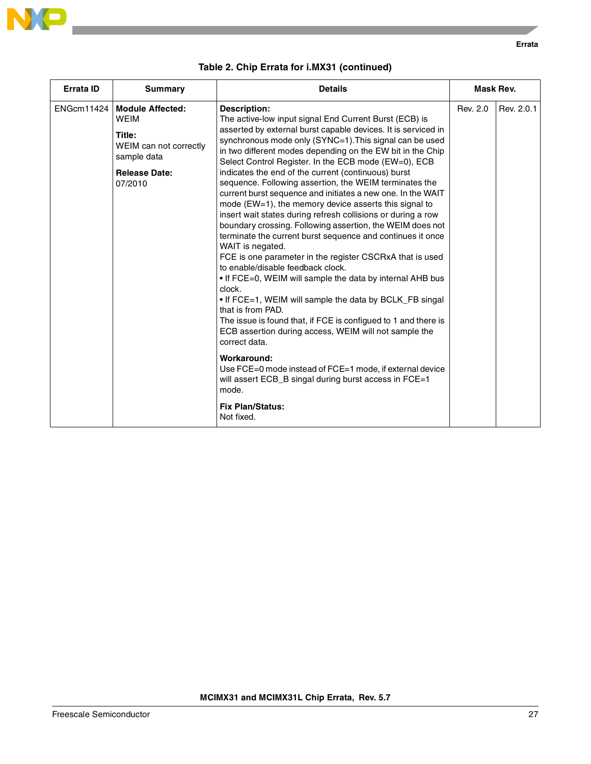

| Errata ID         | <b>Summary</b><br><b>Details</b>                                                                                             |                                                                                                                                                                                                                                                                                                                                                                                                                                                                                                                                                                                                                                                                                                                                                                                                                                                                                                                                                                                                                                                                                                                                                                                                                                                                                                                                                                                       |          |            |
|-------------------|------------------------------------------------------------------------------------------------------------------------------|---------------------------------------------------------------------------------------------------------------------------------------------------------------------------------------------------------------------------------------------------------------------------------------------------------------------------------------------------------------------------------------------------------------------------------------------------------------------------------------------------------------------------------------------------------------------------------------------------------------------------------------------------------------------------------------------------------------------------------------------------------------------------------------------------------------------------------------------------------------------------------------------------------------------------------------------------------------------------------------------------------------------------------------------------------------------------------------------------------------------------------------------------------------------------------------------------------------------------------------------------------------------------------------------------------------------------------------------------------------------------------------|----------|------------|
| <b>ENGcm11424</b> | <b>Module Affected:</b><br><b>WEIM</b><br>Title:<br>WEIM can not correctly<br>sample data<br><b>Release Date:</b><br>07/2010 | <b>Description:</b><br>The active-low input signal End Current Burst (ECB) is<br>asserted by external burst capable devices. It is serviced in<br>synchronous mode only (SYNC=1). This signal can be used<br>in two different modes depending on the EW bit in the Chip<br>Select Control Register. In the ECB mode (EW=0), ECB<br>indicates the end of the current (continuous) burst<br>sequence. Following assertion, the WEIM terminates the<br>current burst sequence and initiates a new one. In the WAIT<br>mode ( $EW=1$ ), the memory device asserts this signal to<br>insert wait states during refresh collisions or during a row<br>boundary crossing. Following assertion, the WEIM does not<br>terminate the current burst sequence and continues it once<br>WAIT is negated.<br>FCE is one parameter in the register CSCRxA that is used<br>to enable/disable feedback clock.<br>• If FCE=0, WEIM will sample the data by internal AHB bus<br>clock.<br>• If FCE=1, WEIM will sample the data by BCLK_FB singal<br>that is from PAD.<br>The issue is found that, if FCE is configued to 1 and there is<br>ECB assertion during access, WEIM will not sample the<br>correct data.<br>Workaround:<br>Use FCE=0 mode instead of FCE=1 mode, if external device<br>will assert ECB_B singal during burst access in FCE=1<br>mode.<br><b>Fix Plan/Status:</b><br>Not fixed. | Rev. 2.0 | Rev. 2.0.1 |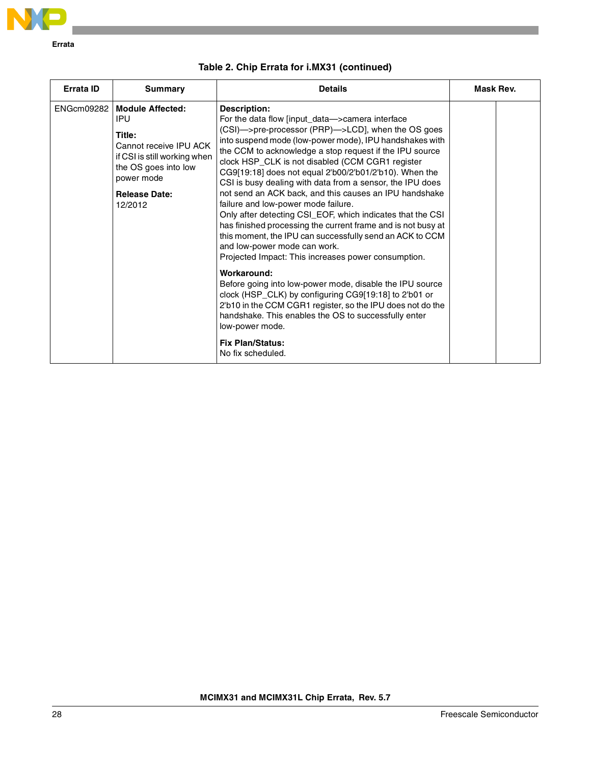

| Errata ID | <b>Summary</b>                                                                                                                                                                    | <b>Details</b>                                                                                                                                                                                                                                                                                                                                                                                                                                                                                                                                                                                                                                                                                                                                                                                                                                                                                                                                                                                                                                                                                                                               | Mask Rev. |
|-----------|-----------------------------------------------------------------------------------------------------------------------------------------------------------------------------------|----------------------------------------------------------------------------------------------------------------------------------------------------------------------------------------------------------------------------------------------------------------------------------------------------------------------------------------------------------------------------------------------------------------------------------------------------------------------------------------------------------------------------------------------------------------------------------------------------------------------------------------------------------------------------------------------------------------------------------------------------------------------------------------------------------------------------------------------------------------------------------------------------------------------------------------------------------------------------------------------------------------------------------------------------------------------------------------------------------------------------------------------|-----------|
|           | ENGcm09282   Module Affected:<br>IPU<br>Title:<br>Cannot receive IPU ACK<br>if CSI is still working when<br>the OS goes into low<br>power mode<br><b>Release Date:</b><br>12/2012 | <b>Description:</b><br>For the data flow [input_data->camera interface<br>(CSI)->pre-processor (PRP)->LCD], when the OS goes<br>into suspend mode (low-power mode), IPU handshakes with<br>the CCM to acknowledge a stop request if the IPU source<br>clock HSP_CLK is not disabled (CCM CGR1 register<br>CG9[19:18] does not equal 2'b00/2'b01/2'b10). When the<br>CSI is busy dealing with data from a sensor, the IPU does<br>not send an ACK back, and this causes an IPU handshake<br>failure and low-power mode failure.<br>Only after detecting CSI_EOF, which indicates that the CSI<br>has finished processing the current frame and is not busy at<br>this moment, the IPU can successfully send an ACK to CCM<br>and low-power mode can work.<br>Projected Impact: This increases power consumption.<br>Workaround:<br>Before going into low-power mode, disable the IPU source<br>clock (HSP_CLK) by configuring CG9[19:18] to 2'b01 or<br>2'b10 in the CCM CGR1 register, so the IPU does not do the<br>handshake. This enables the OS to successfully enter<br>low-power mode.<br><b>Fix Plan/Status:</b><br>No fix scheduled. |           |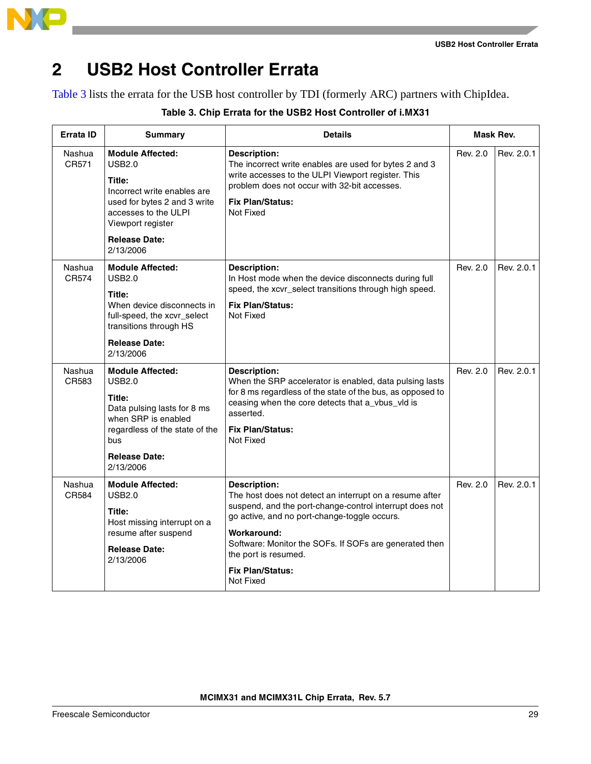

## **2 USB2 Host Controller Errata**

[Table 3](#page-28-0) lists the errata for the USB host controller by TDI (formerly ARC) partners with ChipIdea.

<span id="page-28-0"></span>

| Errata ID       | <b>Summary</b>                                                                                                                                                                               | <b>Details</b>                                                                                                                                                                                                                                                                                                                     |          | Mask Rev.  |
|-----------------|----------------------------------------------------------------------------------------------------------------------------------------------------------------------------------------------|------------------------------------------------------------------------------------------------------------------------------------------------------------------------------------------------------------------------------------------------------------------------------------------------------------------------------------|----------|------------|
| Nashua<br>CR571 | <b>Module Affected:</b><br>USB2.0<br>Title:<br>Incorrect write enables are<br>used for bytes 2 and 3 write<br>accesses to the ULPI<br>Viewport register<br><b>Release Date:</b><br>2/13/2006 | <b>Description:</b><br>The incorrect write enables are used for bytes 2 and 3<br>write accesses to the ULPI Viewport register. This<br>problem does not occur with 32-bit accesses.<br><b>Fix Plan/Status:</b><br>Not Fixed                                                                                                        | Rev. 2.0 | Rev. 2.0.1 |
| Nashua<br>CR574 | <b>Module Affected:</b><br>USB2.0<br>Title:<br>When device disconnects in<br>full-speed, the xcvr_select<br>transitions through HS<br><b>Release Date:</b><br>2/13/2006                      | <b>Description:</b><br>In Host mode when the device disconnects during full<br>speed, the xcvr_select transitions through high speed.<br><b>Fix Plan/Status:</b><br>Not Fixed                                                                                                                                                      | Rev. 2.0 | Rev. 2.0.1 |
| Nashua<br>CR583 | <b>Module Affected:</b><br><b>USB2.0</b><br>Title:<br>Data pulsing lasts for 8 ms<br>when SRP is enabled<br>regardless of the state of the<br>bus<br><b>Release Date:</b><br>2/13/2006       | <b>Description:</b><br>When the SRP accelerator is enabled, data pulsing lasts<br>for 8 ms regardless of the state of the bus, as opposed to<br>ceasing when the core detects that a_vbus_vld is<br>asserted.<br><b>Fix Plan/Status:</b><br>Not Fixed                                                                              | Rev. 2.0 | Rev. 2.0.1 |
| Nashua<br>CR584 | <b>Module Affected:</b><br>USB2.0<br>Title:<br>Host missing interrupt on a<br>resume after suspend<br><b>Release Date:</b><br>2/13/2006                                                      | <b>Description:</b><br>The host does not detect an interrupt on a resume after<br>suspend, and the port-change-control interrupt does not<br>go active, and no port-change-toggle occurs.<br>Workaround:<br>Software: Monitor the SOFs. If SOFs are generated then<br>the port is resumed.<br><b>Fix Plan/Status:</b><br>Not Fixed | Rev. 2.0 | Rev. 2.0.1 |

#### **Table 3. Chip Errata for the USB2 Host Controller of i.MX31**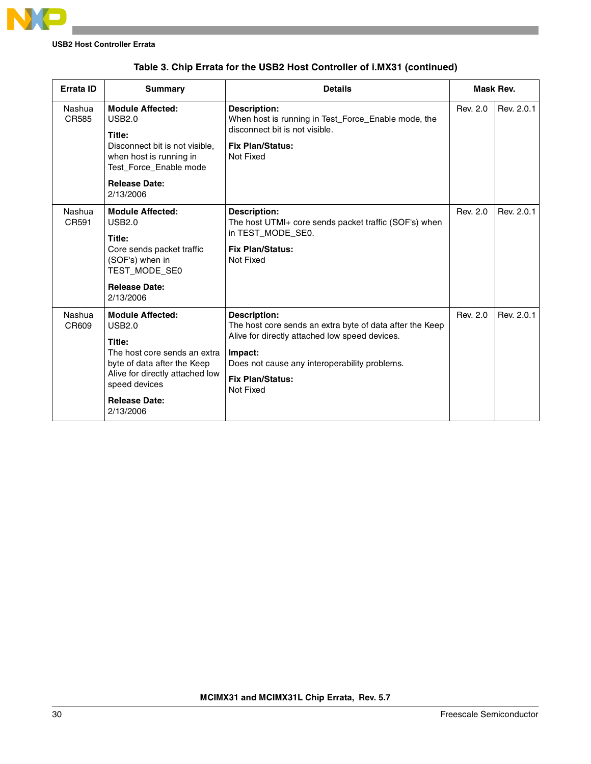

| Errata ID       | <b>Summary</b>                                                                                                                                                                                             | <b>Details</b>                                                                                                                                                                                                                        |          | Mask Rev.  |
|-----------------|------------------------------------------------------------------------------------------------------------------------------------------------------------------------------------------------------------|---------------------------------------------------------------------------------------------------------------------------------------------------------------------------------------------------------------------------------------|----------|------------|
| Nashua<br>CR585 | <b>Module Affected:</b><br><b>USB2.0</b><br>Title:<br>Disconnect bit is not visible,<br>when host is running in<br>Test Force Enable mode<br><b>Release Date:</b><br>2/13/2006                             | <b>Description:</b><br>When host is running in Test Force Enable mode, the<br>disconnect bit is not visible.<br><b>Fix Plan/Status:</b><br>Not Fixed                                                                                  | Rev. 2.0 | Rev. 2.0.1 |
| Nashua<br>CR591 | <b>Module Affected:</b><br><b>USB2.0</b><br>Title:<br>Core sends packet traffic<br>(SOF's) when in<br>TEST_MODE_SE0<br><b>Release Date:</b><br>2/13/2006                                                   | <b>Description:</b><br>The host UTMI+ core sends packet traffic (SOF's) when<br>in TEST_MODE_SE0.<br><b>Fix Plan/Status:</b><br>Not Fixed                                                                                             | Rev. 2.0 | Rev. 2.0.1 |
| Nashua<br>CR609 | <b>Module Affected:</b><br><b>USB2.0</b><br>Title:<br>The host core sends an extra<br>byte of data after the Keep<br>Alive for directly attached low<br>speed devices<br><b>Release Date:</b><br>2/13/2006 | <b>Description:</b><br>The host core sends an extra byte of data after the Keep<br>Alive for directly attached low speed devices.<br>Impact:<br>Does not cause any interoperability problems.<br><b>Fix Plan/Status:</b><br>Not Fixed | Rev. 2.0 | Rev. 2.0.1 |

### **Table 3. Chip Errata for the USB2 Host Controller of i.MX31 (continued)**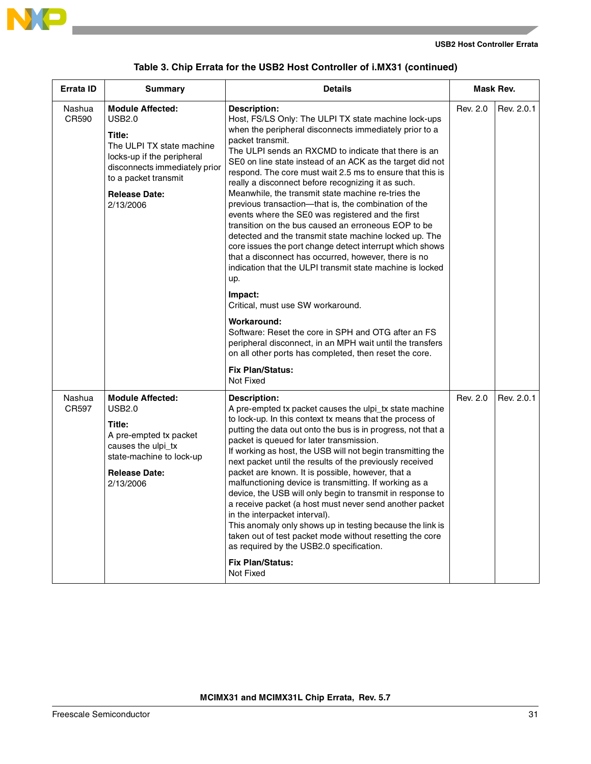

|  | Table 3. Chip Errata for the USB2 Host Controller of i.MX31 (continued) |  |  |  |  |
|--|-------------------------------------------------------------------------|--|--|--|--|
|--|-------------------------------------------------------------------------|--|--|--|--|

| <b>Errata ID</b> | <b>Summary</b>                                                                                                                                                                                       | <b>Details</b>                                                                                                                                                                                                                                                                                                                                                                                                                                                                                                                                                                                                                                                                                                                                                                                                                                                                                                                                                                                                                                                                                                                                                     | Mask Rev. |            |
|------------------|------------------------------------------------------------------------------------------------------------------------------------------------------------------------------------------------------|--------------------------------------------------------------------------------------------------------------------------------------------------------------------------------------------------------------------------------------------------------------------------------------------------------------------------------------------------------------------------------------------------------------------------------------------------------------------------------------------------------------------------------------------------------------------------------------------------------------------------------------------------------------------------------------------------------------------------------------------------------------------------------------------------------------------------------------------------------------------------------------------------------------------------------------------------------------------------------------------------------------------------------------------------------------------------------------------------------------------------------------------------------------------|-----------|------------|
| Nashua<br>CR590  | <b>Module Affected:</b><br>USB2.0<br>Title:<br>The ULPI TX state machine<br>locks-up if the peripheral<br>disconnects immediately prior<br>to a packet transmit<br><b>Release Date:</b><br>2/13/2006 | <b>Description:</b><br>Host, FS/LS Only: The ULPI TX state machine lock-ups<br>when the peripheral disconnects immediately prior to a<br>packet transmit.<br>The ULPI sends an RXCMD to indicate that there is an<br>SE0 on line state instead of an ACK as the target did not<br>respond. The core must wait 2.5 ms to ensure that this is<br>really a disconnect before recognizing it as such.<br>Meanwhile, the transmit state machine re-tries the<br>previous transaction-that is, the combination of the<br>events where the SE0 was registered and the first<br>transition on the bus caused an erroneous EOP to be<br>detected and the transmit state machine locked up. The<br>core issues the port change detect interrupt which shows<br>that a disconnect has occurred, however, there is no<br>indication that the ULPI transmit state machine is locked<br>up.<br>Impact:<br>Critical, must use SW workaround.<br>Workaround:<br>Software: Reset the core in SPH and OTG after an FS<br>peripheral disconnect, in an MPH wait until the transfers<br>on all other ports has completed, then reset the core.<br><b>Fix Plan/Status:</b><br>Not Fixed | Rev. 2.0  | Rev. 2.0.1 |
| Nashua<br>CR597  | <b>Module Affected:</b><br><b>USB2.0</b><br>Title:<br>A pre-empted tx packet<br>causes the ulpi_tx<br>state-machine to lock-up<br><b>Release Date:</b><br>2/13/2006                                  | Description:<br>A pre-empted tx packet causes the ulpi_tx state machine<br>to lock-up. In this context tx means that the process of<br>putting the data out onto the bus is in progress, not that a<br>packet is queued for later transmission.<br>If working as host, the USB will not begin transmitting the<br>next packet until the results of the previously received<br>packet are known. It is possible, however, that a<br>malfunctioning device is transmitting. If working as a<br>device, the USB will only begin to transmit in response to<br>a receive packet (a host must never send another packet<br>in the interpacket interval).<br>This anomaly only shows up in testing because the link is<br>taken out of test packet mode without resetting the core<br>as required by the USB2.0 specification.<br><b>Fix Plan/Status:</b><br>Not Fixed                                                                                                                                                                                                                                                                                                   | Rev. 2.0  | Rev. 2.0.1 |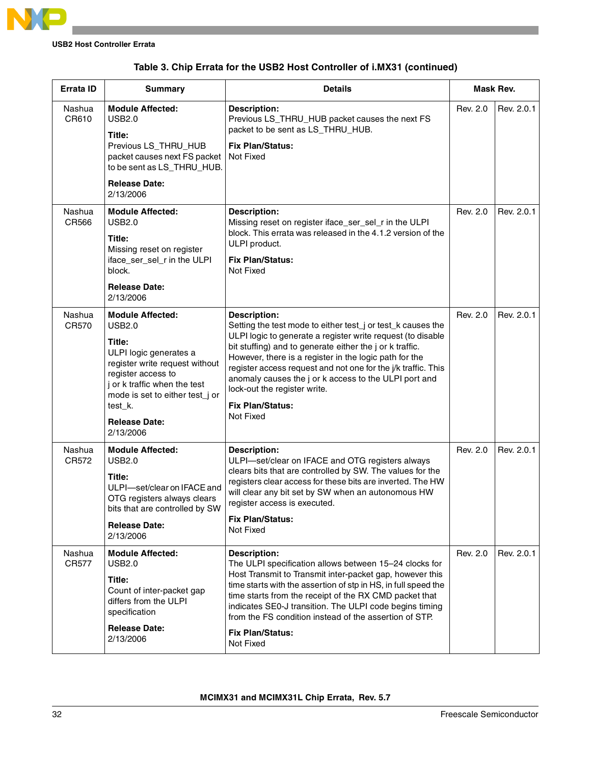

|  | Table 3. Chip Errata for the USB2 Host Controller of i.MX31 (continued) |  |  |  |  |
|--|-------------------------------------------------------------------------|--|--|--|--|
|--|-------------------------------------------------------------------------|--|--|--|--|

| Errata ID       | <b>Summary</b>                                                                                                                                                                                                                                          | <b>Details</b>                                                                                                                                                                                                                                                                                                                                                                                                                                                            | Mask Rev. |            |
|-----------------|---------------------------------------------------------------------------------------------------------------------------------------------------------------------------------------------------------------------------------------------------------|---------------------------------------------------------------------------------------------------------------------------------------------------------------------------------------------------------------------------------------------------------------------------------------------------------------------------------------------------------------------------------------------------------------------------------------------------------------------------|-----------|------------|
| Nashua<br>CR610 | <b>Module Affected:</b><br><b>USB2.0</b><br>Title:<br>Previous LS_THRU_HUB<br>packet causes next FS packet<br>to be sent as LS_THRU_HUB.<br><b>Release Date:</b>                                                                                        | <b>Description:</b><br>Previous LS_THRU_HUB packet causes the next FS<br>packet to be sent as LS_THRU_HUB.<br><b>Fix Plan/Status:</b><br>Not Fixed                                                                                                                                                                                                                                                                                                                        | Rev. 2.0  | Rev. 2.0.1 |
|                 | 2/13/2006                                                                                                                                                                                                                                               |                                                                                                                                                                                                                                                                                                                                                                                                                                                                           |           |            |
| Nashua<br>CR566 | <b>Module Affected:</b><br><b>USB2.0</b><br>Title:<br>Missing reset on register<br>iface_ser_sel_r in the ULPI<br>block.<br><b>Release Date:</b><br>2/13/2006                                                                                           | <b>Description:</b><br>Missing reset on register iface_ser_sel_r in the ULPI<br>block. This errata was released in the 4.1.2 version of the<br>ULPI product.<br><b>Fix Plan/Status:</b><br>Not Fixed                                                                                                                                                                                                                                                                      | Rev. 2.0  | Rev. 2.0.1 |
| Nashua<br>CR570 | <b>Module Affected:</b><br><b>USB2.0</b><br>Title:<br>ULPI logic generates a<br>register write request without<br>register access to<br>j or k traffic when the test<br>mode is set to either test_j or<br>test_k.<br><b>Release Date:</b><br>2/13/2006 | <b>Description:</b><br>Setting the test mode to either test_j or test_k causes the<br>ULPI logic to generate a register write request (to disable<br>bit stuffing) and to generate either the j or k traffic.<br>However, there is a register in the logic path for the<br>register access request and not one for the j/k traffic. This<br>anomaly causes the j or k access to the ULPI port and<br>lock-out the register write.<br><b>Fix Plan/Status:</b><br>Not Fixed | Rev. 2.0  | Rev. 2.0.1 |
| Nashua<br>CR572 | <b>Module Affected:</b><br><b>USB2.0</b><br>Title:<br>ULPI-set/clear on IFACE and<br>OTG registers always clears<br>bits that are controlled by SW<br><b>Release Date:</b><br>2/13/2006                                                                 | <b>Description:</b><br>ULPI-set/clear on IFACE and OTG registers always<br>clears bits that are controlled by SW. The values for the<br>registers clear access for these bits are inverted. The HW<br>will clear any bit set by SW when an autonomous HW<br>register access is executed.<br><b>Fix Plan/Status:</b><br>Not Fixed                                                                                                                                          | Rev. 2.0  | Rev. 2.0.1 |
| Nashua<br>CR577 | <b>Module Affected:</b><br><b>USB2.0</b><br>Title:<br>Count of inter-packet gap<br>differs from the ULPI<br>specification<br><b>Release Date:</b><br>2/13/2006                                                                                          | <b>Description:</b><br>The ULPI specification allows between 15-24 clocks for<br>Host Transmit to Transmit inter-packet gap, however this<br>time starts with the assertion of stp in HS, in full speed the<br>time starts from the receipt of the RX CMD packet that<br>indicates SE0-J transition. The ULPI code begins timing<br>from the FS condition instead of the assertion of STP.<br><b>Fix Plan/Status:</b><br>Not Fixed                                        | Rev. 2.0  | Rev. 2.0.1 |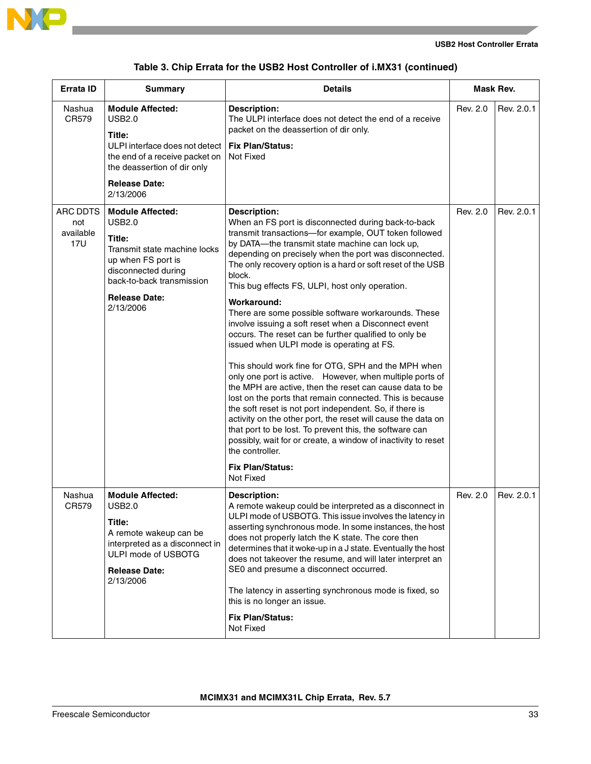

a sa kacamatan ing Kabupatèn Kabupatèn Ing

|  | Table 3. Chip Errata for the USB2 Host Controller of i.MX31 (continued) |  |  |  |  |
|--|-------------------------------------------------------------------------|--|--|--|--|
|--|-------------------------------------------------------------------------|--|--|--|--|

| Errata ID                                  | <b>Summary</b>                                                                                                                                                                                    | <b>Details</b>                                                                                                                                                                                                                                                                                                                                                                                                                                                                                                                                                                                                                                                                                                                                                                                                                                                                                                                                                                                                                                                                                                                                                               |          | Mask Rev.  |
|--------------------------------------------|---------------------------------------------------------------------------------------------------------------------------------------------------------------------------------------------------|------------------------------------------------------------------------------------------------------------------------------------------------------------------------------------------------------------------------------------------------------------------------------------------------------------------------------------------------------------------------------------------------------------------------------------------------------------------------------------------------------------------------------------------------------------------------------------------------------------------------------------------------------------------------------------------------------------------------------------------------------------------------------------------------------------------------------------------------------------------------------------------------------------------------------------------------------------------------------------------------------------------------------------------------------------------------------------------------------------------------------------------------------------------------------|----------|------------|
| Nashua<br>CR579                            | <b>Module Affected:</b><br><b>USB2.0</b><br>Title:<br>ULPI interface does not detect<br>the end of a receive packet on<br>the deassertion of dir only<br><b>Release Date:</b><br>2/13/2006        | <b>Description:</b><br>The ULPI interface does not detect the end of a receive<br>packet on the deassertion of dir only.<br><b>Fix Plan/Status:</b><br>Not Fixed                                                                                                                                                                                                                                                                                                                                                                                                                                                                                                                                                                                                                                                                                                                                                                                                                                                                                                                                                                                                             | Rev. 2.0 | Rev. 2.0.1 |
| ARC DDTS<br>not<br>available<br><b>17U</b> | <b>Module Affected:</b><br><b>USB2.0</b><br>Title:<br>Transmit state machine locks<br>up when FS port is<br>disconnected during<br>back-to-back transmission<br><b>Release Date:</b><br>2/13/2006 | <b>Description:</b><br>When an FS port is disconnected during back-to-back<br>transmit transactions-for example, OUT token followed<br>by DATA-the transmit state machine can lock up,<br>depending on precisely when the port was disconnected.<br>The only recovery option is a hard or soft reset of the USB<br>block.<br>This bug effects FS, ULPI, host only operation.<br>Workaround:<br>There are some possible software workarounds. These<br>involve issuing a soft reset when a Disconnect event<br>occurs. The reset can be further qualified to only be<br>issued when ULPI mode is operating at FS.<br>This should work fine for OTG, SPH and the MPH when<br>only one port is active. However, when multiple ports of<br>the MPH are active, then the reset can cause data to be<br>lost on the ports that remain connected. This is because<br>the soft reset is not port independent. So, if there is<br>activity on the other port, the reset will cause the data on<br>that port to be lost. To prevent this, the software can<br>possibly, wait for or create, a window of inactivity to reset<br>the controller.<br><b>Fix Plan/Status:</b><br>Not Fixed | Rev. 2.0 | Rev. 2.0.1 |
| Nashua<br>CR579                            | <b>Module Affected:</b><br>USB2.0<br>Title:<br>A remote wakeup can be<br>interpreted as a disconnect in<br>ULPI mode of USBOTG<br><b>Release Date:</b><br>2/13/2006                               | <b>Description:</b><br>A remote wakeup could be interpreted as a disconnect in<br>ULPI mode of USBOTG. This issue involves the latency in<br>asserting synchronous mode. In some instances, the host<br>does not properly latch the K state. The core then<br>determines that it woke-up in a J state. Eventually the host<br>does not takeover the resume, and will later interpret an<br>SE0 and presume a disconnect occurred.<br>The latency in asserting synchronous mode is fixed, so<br>this is no longer an issue.<br><b>Fix Plan/Status:</b><br>Not Fixed                                                                                                                                                                                                                                                                                                                                                                                                                                                                                                                                                                                                           | Rev. 2.0 | Rev. 2.0.1 |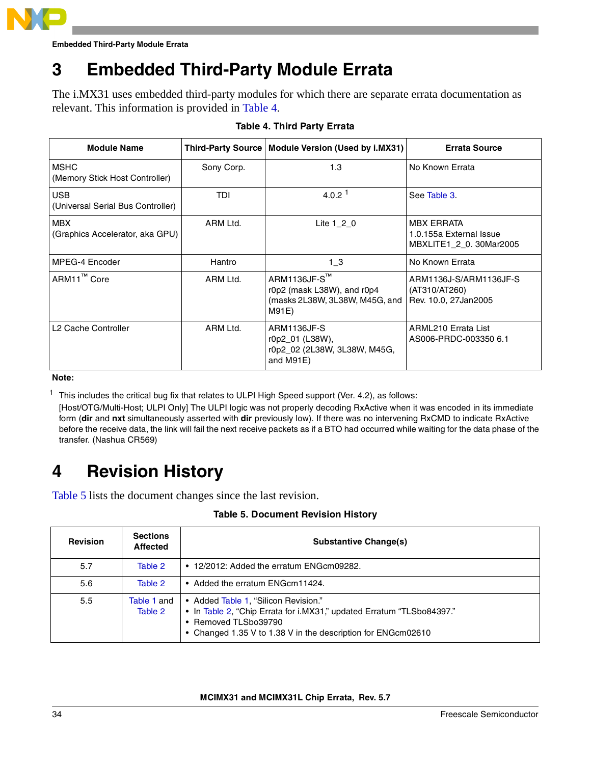

## **3 Embedded Third-Party Module Errata**

The i.MX31 uses embedded third-party modules for which there are separate errata documentation as relevant. This information is provided in [Table 4](#page-33-0).

<span id="page-33-0"></span>

| <b>Module Name</b>                              |            | Third-Party Source   Module Version (Used by i.MX31)                                  | <b>Errata Source</b>                                                   |
|-------------------------------------------------|------------|---------------------------------------------------------------------------------------|------------------------------------------------------------------------|
| <b>MSHC</b><br>(Memory Stick Host Controller)   | Sony Corp. | 1.3                                                                                   | No Known Errata                                                        |
| <b>USB</b><br>(Universal Serial Bus Controller) | TDI        | 4.0.2 <sup>1</sup>                                                                    | See Table 3.                                                           |
| <b>MBX</b><br>(Graphics Accelerator, aka GPU)   | ARM Ltd.   | Lite $1 \t2 \t0$                                                                      | <b>MBX ERRATA</b><br>1.0.155a External Issue<br>MBXLITE1 2 0.30Mar2005 |
| MPEG-4 Encoder                                  | Hantro     | $1_{-}3$                                                                              | No Known Errata                                                        |
| ARM11 <sup>™</sup> Core                         | ARM Ltd.   | ARM1136JF-S™<br>r0p2 (mask L38W), and r0p4<br>(masks 2L38W, 3L38W, M45G, and<br>M91E) | ARM1136J-S/ARM1136JF-S<br>(AT310/AT260)<br>Rev. 10.0, 27 Jan 2005      |
| L <sub>2</sub> Cache Controller                 | ARM Ltd.   | ARM1136JF-S<br>r0p2_01 (L38W),<br>r0p2_02 (2L38W, 3L38W, M45G,<br>and M91E)           | ARML210 Errata List<br>AS006-PRDC-003350 6.1                           |

#### **Table 4. Third Party Errata**

**Note:**

 $1$  This includes the critical bug fix that relates to ULPI High Speed support (Ver. 4.2), as follows:

[Host/OTG/Multi-Host; ULPI Only] The ULPI logic was not properly decoding RxActive when it was encoded in its immediate form (**dir** and **nxt** simultaneously asserted with **dir** previously low). If there was no intervening RxCMD to indicate RxActive before the receive data, the link will fail the next receive packets as if a BTO had occurred while waiting for the data phase of the transfer. (Nashua CR569)

## **4 Revision History**

<span id="page-33-1"></span>[Table 5](#page-33-1) lists the document changes since the last revision.

| <b>Table 5. Document Revision History</b> |  |
|-------------------------------------------|--|
|-------------------------------------------|--|

| <b>Revision</b> | <b>Sections</b><br><b>Affected</b> | <b>Substantive Change(s)</b>                                                                                                                                                                          |
|-----------------|------------------------------------|-------------------------------------------------------------------------------------------------------------------------------------------------------------------------------------------------------|
| 5.7             | Table 2                            | $\bullet$ 12/2012: Added the erratum ENG cm 09282.                                                                                                                                                    |
| 5.6             | Table 2                            | • Added the erratum ENG cm 11424.                                                                                                                                                                     |
| 5.5             | Table 1 and<br>Table 2             | • Added Table 1, "Silicon Revision."<br>• In Table 2, "Chip Errata for i.MX31," updated Erratum "TLSbo84397."<br>• Removed TLSbo39790<br>• Changed 1.35 V to 1.38 V in the description for ENGcm02610 |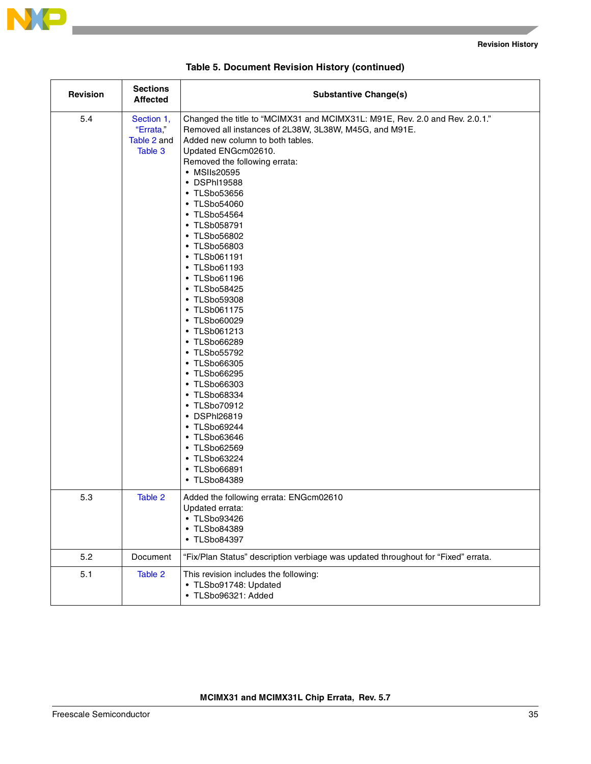

and the state of the state

| Revision | <b>Sections</b><br><b>Affected</b>                | <b>Substantive Change(s)</b>                                                                                                                                                                                                                                                                                                                                                                                                                                                                                                                                                                                                                                                                                                      |
|----------|---------------------------------------------------|-----------------------------------------------------------------------------------------------------------------------------------------------------------------------------------------------------------------------------------------------------------------------------------------------------------------------------------------------------------------------------------------------------------------------------------------------------------------------------------------------------------------------------------------------------------------------------------------------------------------------------------------------------------------------------------------------------------------------------------|
| 5.4      | Section 1,<br>"Errata,"<br>Table 2 and<br>Table 3 | Changed the title to "MCIMX31 and MCIMX31L: M91E, Rev. 2.0 and Rev. 2.0.1."<br>Removed all instances of 2L38W, 3L38W, M45G, and M91E.<br>Added new column to both tables.<br>Updated ENGcm02610.<br>Removed the following errata:<br>• MSIIs20595<br>• DSPhI19588<br>• TLSbo53656<br>• TLSbo54060<br>• TLSbo54564<br>• TLSb058791<br>• TLSbo56802<br>• TLSbo56803<br>• TLSb061191<br>• TLSbo61193<br>• TLSbo61196<br>• TLSbo58425<br>• TLSbo59308<br>• TLSb061175<br>• TLSbo60029<br>• TLSb061213<br>• TLSbo66289<br>• TLSbo55792<br>• TLSbo66305<br>• TLSbo66295<br>• TLSbo66303<br>• TLSbo68334<br>• TLSbo70912<br>• DSPhI26819<br>• TLSbo69244<br>• TLSbo63646<br>• TLSbo62569<br>• TLSbo63224<br>• TLSbo66891<br>• TLSbo84389 |
| 5.3      | Table 2                                           | Added the following errata: ENGcm02610<br>Updated errata:<br>• TLSbo93426<br><b>TLSbo84389</b><br>$\bullet$<br>• TLSbo84397                                                                                                                                                                                                                                                                                                                                                                                                                                                                                                                                                                                                       |
| 5.2      | Document                                          | "Fix/Plan Status" description verbiage was updated throughout for "Fixed" errata.                                                                                                                                                                                                                                                                                                                                                                                                                                                                                                                                                                                                                                                 |
| 5.1      | Table 2                                           | This revision includes the following:<br>• TLSbo91748: Updated<br>· TLSbo96321: Added                                                                                                                                                                                                                                                                                                                                                                                                                                                                                                                                                                                                                                             |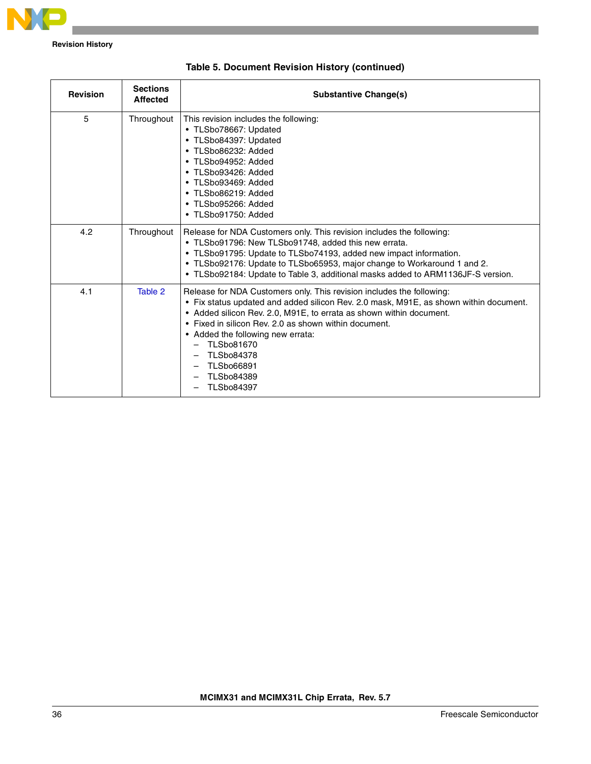

**Revision History**

| <b>Revision</b> | <b>Sections</b><br><b>Affected</b> | <b>Substantive Change(s)</b>                                                                                                                                                                                                                                                                                                                                                                                                   |
|-----------------|------------------------------------|--------------------------------------------------------------------------------------------------------------------------------------------------------------------------------------------------------------------------------------------------------------------------------------------------------------------------------------------------------------------------------------------------------------------------------|
| 5               | Throughout                         | This revision includes the following:<br>• TLSbo78667: Updated<br>• TLSbo84397: Updated<br>· TLSbo86232: Added<br>• TLSbo94952: Added<br>• TLSbo93426: Added<br>• TLSbo93469: Added<br>• TLSbo86219: Added<br>• TLSbo95266: Added<br>• TLSbo91750: Added                                                                                                                                                                       |
| 4.2             | Throughout                         | Release for NDA Customers only. This revision includes the following:<br>• TLSbo91796: New TLSbo91748, added this new errata.<br>• TLSbo91795: Update to TLSbo74193, added new impact information.<br>• TLSbo92176: Update to TLSbo65953, major change to Workaround 1 and 2.<br>• TLSbo92184: Update to Table 3, additional masks added to ARM1136JF-S version.                                                               |
| 4.1             | Table 2                            | Release for NDA Customers only. This revision includes the following:<br>• Fix status updated and added silicon Rev. 2.0 mask, M91E, as shown within document.<br>• Added silicon Rev. 2.0, M91E, to errata as shown within document.<br>• Fixed in silicon Rev. 2.0 as shown within document.<br>• Added the following new errata:<br>TLSbo81670<br><b>TLSbo84378</b><br>TLSbo66891<br><b>TLSbo84389</b><br><b>TLSbo84397</b> |

| Table 5. Document Revision History (continued) |  |  |  |
|------------------------------------------------|--|--|--|
|------------------------------------------------|--|--|--|